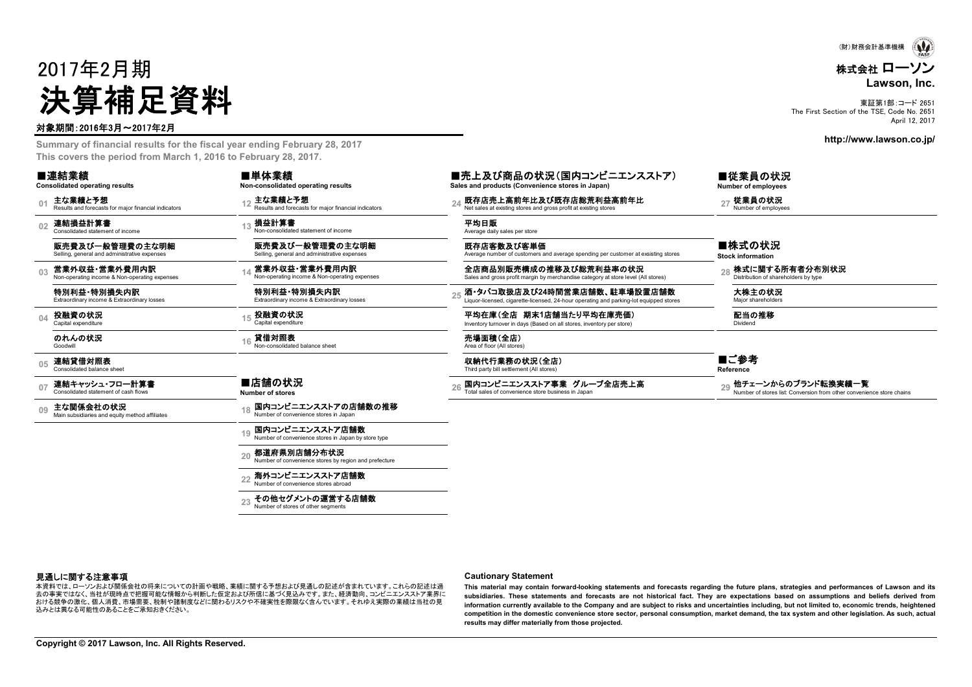# 2017年2月期 決算補足資料

#### 対象期間:2016年3月~2017年2月

**Summary of financial results for the fiscal year ending February 28, 2017 This covers the period from March 1, 2016 to February 28, 2017.**

#### ■連結業績

**02**

**03**

**04**

**07**

**09**

**Consolidated operating results**

**01**

連結損益計算書 Consolidated statement of income

特別利益・特別損失内訳Extraordinary income & Extraordinary losses

販売費及び一般管理費の主な明細Selling, general and administrative expenses

**Non-consolidated operating results** 主な業績と予想

損益計算書Results and forecasts for major financial indicators

■単体業績

 **<sup>13</sup>** 平均日販 Average daily sales per store Non-consolidated statement of income販売費及び一般管理費の主な明細

Selling, general and administrative expenses

営業外収益・営業外費用内訳Non-operating income & Non-operating expenses

特別利益・特別損失内訳Extraordinary income & Extraordinary losses

投融資の状況Capital expenditure

 **<sup>16</sup>** 売場面積(全店) Area of floor (All stores) 貸借対照表Non-consolidated balance sheet

#### **05**連結貸借対照表<br>Consolidated balance sheet

のれんの状況Goodwill

連結キャッシュ・フロー計算書<br>Consolidated statement of cash flows

主な関係会社の状況 Main subsidiaries and equity method affiliates **<sup>18</sup>**

■店舗の状況 **Number of stores**

#### 国内コンビニエンスストアの店舗数の推移Number of convenience stores in Japan

**19**国内コンビニエンスストア店舗数Number of convenience stores in Japan by store type

**20**都道府県別店舗分布状況

Number of convenience stores by region and prefecture

#### **22**海外コンビニエンスストア店舗数

Number of convenience stores abroad

**23** その他セグメントの運営する店舗数Number of stores of other segments

#### ■売上及び商品の状況(国内コンビニエンスストア) **Sales and products (Convenience stores in Japan)**

主な業績と予想 Results and forecasts for major financial indicators and forecasts for major financial indicators 24 既存店売上高前年比及び既存店総荒利益高前年比 27 従業員の状況 Results and forecasts for major financial indicators and process at existing

既存店客数及び客単価Average number of customers and average spending per customer at exsisting stores

営業外収益・営業外費用内訳 Non-operating income & Non-operating expenses **<sup>14</sup>** 全店商品別販売構成の推移及び総荒利益率の状況 Sales and gross profit margin by merchandise category at store level (All stores) **<sup>28</sup>** 株式に関する所有者分布別状況 Distribution of shareholders by type

Extraordinary income & Extraordinary losses **<sup>25</sup>** 酒・タバコ取扱店及び**24**時間営業店舗数、駐車場設置店舗数 Liquor-licensed, cigarette-licensed, 24-hour operating and parking-lot equipped stores 大株主の状況 Major shareholders

投融資の状況 ファインスタンのサンプレント 15 投融資の状況 アメリカン ア均在庫(全店 期末1店舗当たり平均在庫売価) コンスタンスタンプレント 配当の推移<br>Capital expenditure *Inversions* and the Capital expenditure of the Capital expenditure of the Capital expenditure

収納代行業務の状況(全店) Third party bill settlement (All stores)

26 国内コンビニエンスストア事業 グループ全店売上高<br>Total sales of convenience store business in Japan **- Automatic stores and Automatic proper of stores list: Conversion from other convenience store chains** 

■従業員の状況 **Number of employees**

■株式の状況 **Stock information**

■ご参考**Reference**

見通しに関する注意事項

本資料では、ローソンおよび関係会社の将来についての計画や戦略、業績に関する予想および見通しの記述が含まれています。これらの記述は過 去の事実ではなく、当社が現時点で把握可能な情報から判断した仮定および所信に基づく見込みです。また、経済動向、コンビニエンスストア業界に おける競争の激化、個人消費、市場需要、税制や諸制度などに関わるリスクや不確実性を際限なく含んでいます。それゆえ実際の業績は当社の見 込みとは異なる可能性のあることをご承知おきください。

#### **Cautionary Statement**

This material may contain forward-looking statements and forecasts regarding the future plans, strategies and performances of Lawson and its subsidiaries. These statements and forecasts are not historical fact. They are expectations based on assumptions and beliefs derived from information currently available to the Company and are subject to risks and uncertainties including, but not limited to, economic trends, heightened competition in the domestic convenience store sector, personal consumption, market demand, the tax system and other legislation. As such, actual **results may differ materially from those projected.**

....株式会社 ローソン**Lawson, Inc.** (財)財務会計基準機構

東証第1部:コード 2651

The First Section of the TSE, Code No. 2651 April 12, 2017

**http://www.lawson.co.jp/**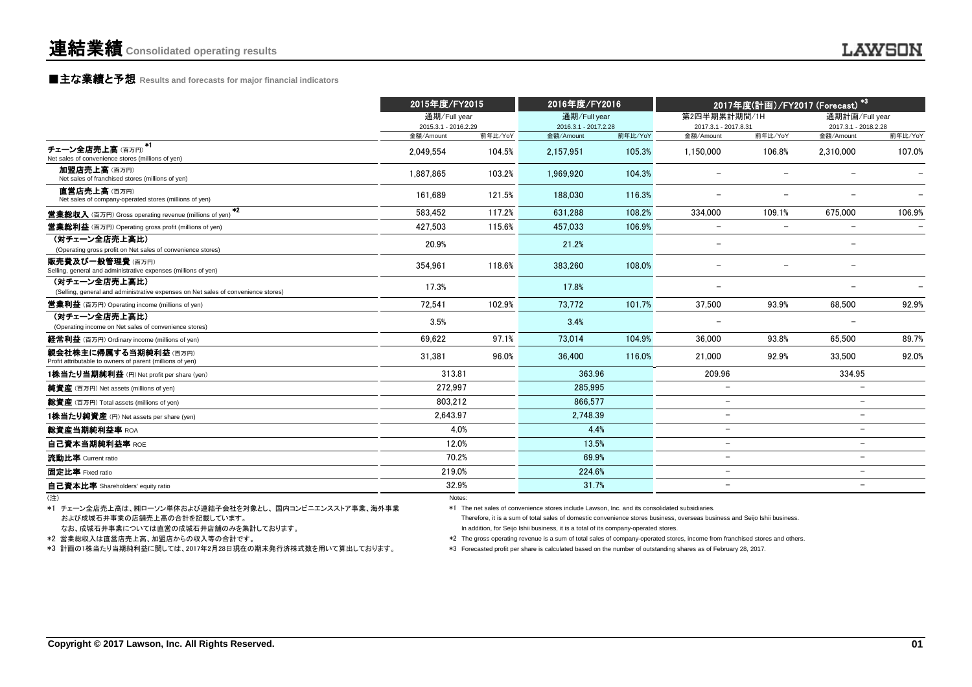#### **■主な業績と予想** Results and forecasts for major financial indicators

|                                                                                                    | 2015年度/FY2015                        |         | 2016年度/FY2016                        |         | 2017年度(計画)/FY2017 (Forecast) <sup>*3</sup> |         |                                        |         |
|----------------------------------------------------------------------------------------------------|--------------------------------------|---------|--------------------------------------|---------|--------------------------------------------|---------|----------------------------------------|---------|
|                                                                                                    | 通期/Full year<br>2015.3.1 - 2016.2.29 |         | 通期/Full year<br>2016.3.1 - 2017.2.28 |         | 第2四半期累計期間/1H<br>2017.3.1 - 2017.8.31       |         | 通期計画/Full year<br>2017.3.1 - 2018.2.28 |         |
|                                                                                                    | 金額/Amount                            | 前年比/YoY | 金額/Amount                            | 前年比/YoY | 金額/Amount                                  | 前年比/YoY | 金額/Amount                              | 前年比/YoY |
| チェーン全店売上高(百万円) <sup>*1</sup><br>Net sales of convenience stores (millions of yen)                  | 2.049.554                            | 104.5%  | 2.157.951                            | 105.3%  | 1.150.000                                  | 106.8%  | 2.310.000                              | 107.0%  |
| 加盟店売上高(百万円)<br>Net sales of franchised stores (millions of yen)                                    | 1.887.865                            | 103.2%  | 1.969.920                            | 104.3%  |                                            |         |                                        |         |
| 直営店売上高(百万円)<br>Net sales of company-operated stores (millions of yen)                              | 161.689                              | 121.5%  | 188.030                              | 116.3%  |                                            |         |                                        |         |
| $*2$<br><b>営業総収入</b> (百万円) Gross operating revenue (millions of yen)                               | 583.452                              | 117.2%  | 631.288                              | 108.2%  | 334.000                                    | 109.1%  | 675.000                                | 106.9%  |
| <b>営業総利益</b> (百万円) Operating gross profit (millions of yen)                                        | 427.503                              | 115.6%  | 457.033                              | 106.9%  | $\overline{\phantom{0}}$                   | -       |                                        |         |
| (対チェーン全店売上高比)<br>(Operating gross profit on Net sales of convenience stores)                       | 20.9%                                |         | 21.2%                                |         | $\overline{\phantom{0}}$                   |         | $\overline{a}$                         |         |
| 販売費及び一般管理費(百万円)<br>Selling, general and administrative expenses (millions of yen)                  | 354.961                              | 118.6%  | 383,260                              | 108.0%  |                                            |         |                                        |         |
| (対チェーン全店売上高比)<br>(Selling, general and administrative expenses on Net sales of convenience stores) | 17.3%                                |         | 17.8%                                |         |                                            |         |                                        |         |
| <b>営業利益</b> (百万円) Operating income (millions of yen)                                               | 72.541                               | 102.9%  | 73.772                               | 101.7%  | 37,500                                     | 93.9%   | 68.500                                 | 92.9%   |
| (対チェーン全店売上高比)<br>(Operating income on Net sales of convenience stores)                             | 3.5%                                 |         | 3.4%                                 |         |                                            |         |                                        |         |
| 経常利益 (百万円) Ordinary income (millions of yen)                                                       | 69,622                               | 97.1%   | 73,014                               | 104.9%  | 36,000                                     | 93.8%   | 65,500                                 | 89.7%   |
| 親会社株主に帰属する当期純利益(百万円)<br>Profit attributable to owners of parent (millions of yen)                  | 31,381                               | 96.0%   | 36.400                               | 116.0%  | 21,000                                     | 92.9%   | 33.500                                 | 92.0%   |
| 1株当たり当期純利益 (円) Net profit per share (yen)                                                          | 313.81                               |         | 363.96                               |         | 209.96                                     |         | 334.95                                 |         |
| <b>純資産</b> (百万円) Net assets (millions of yen)                                                      | 272,997                              |         | 285.995                              |         | $\overline{\phantom{0}}$                   |         |                                        |         |
| 総資産 (百万円) Total assets (millions of yen)                                                           | 803,212                              |         | 866.577                              |         | $\overline{\phantom{0}}$                   |         | $\overline{\phantom{0}}$               |         |
| 1株当たり純資産 (円) Net assets per share (yen)                                                            | 2,643.97                             |         | 2.748.39                             |         | $\overline{\phantom{0}}$                   |         | $\overline{\phantom{0}}$               |         |
| 総資産当期純利益率 ROA                                                                                      | 4.0%                                 |         | 4.4%                                 |         | $\overline{\phantom{0}}$                   |         | $\overline{\phantom{0}}$               |         |
| 自己資本当期純利益率 ROE                                                                                     | 12.0%                                |         | 13.5%                                |         | $\overline{\phantom{0}}$                   |         | $\overline{\phantom{0}}$               |         |
| 流動比率 Current ratio                                                                                 | 70.2%                                |         | 69.9%                                |         | $\overline{\phantom{0}}$                   |         | $\overline{\phantom{0}}$               |         |
| 固定比率 Fixed ratio                                                                                   | 219.0%                               |         | 224.6%                               |         | $\overline{\phantom{m}}$                   |         | $\qquad \qquad -$                      |         |
| 自己資本比率 Shareholders' equity ratio                                                                  | 32.9%                                |         | 31.7%                                |         | $\overline{\phantom{0}}$                   |         | $\overline{\phantom{0}}$               |         |

(注) Notes:

 および成城石井事業の店舗売上高の合計を記載しています。 \*1 チェーン全店売上高は、㈱ローソン単体および連結子会社を対象とし、国内コンビニエンスストア事業、海外事業 \*1 The net sales of convenience stores include Lawson, Inc. and its consolidated subsidiaries.

なお、成城石井事業については直営の成城石井店舗のみを集計しております。

\*3 計画の1株当たり当期純利益に関しては、2017年2月28日現在の期末発行済株式数を用いて算出しております。

Therefore, it is a sum of total sales of domestic convenience stores business, overseas business and Seijo Ishii business.

In addition, for Seijo Ishii business, it is a total of its company-operated stores.

\*2 営業総収入は直営店売上高、加盟店からの収入等の合計です。 \*2 The gross operating revenue is a sum of total sales of company-operated stores, income from franchised stores and others.

\*3 Forecasted profit per share is calculated based on the number of outstanding shares as of February 28, 2017.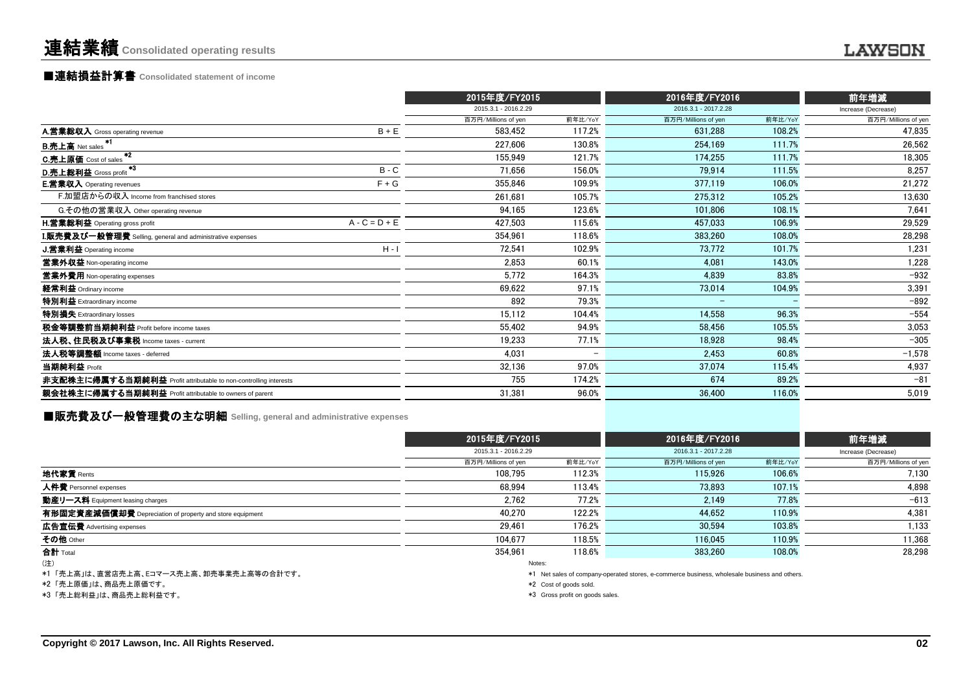## ■連結損益計算書 **Consolidated statement of income**

|                                                                  | 2015年度/FY2015        |                          | 2016年度/FY2016        |         | 前年増減                |
|------------------------------------------------------------------|----------------------|--------------------------|----------------------|---------|---------------------|
|                                                                  | 2015.3.1 - 2016.2.29 |                          | 2016.3.1 - 2017.2.28 |         | Increase (Decrease) |
|                                                                  | 百万円/Millions of yen  | 前年比/YoY                  | 百万円/Millions of yen  | 前年比/YoY | 百万円/Millions of yen |
| $B + E$<br>A.営業総収入 Gross operating revenue                       | 583,452              | 117.2%                   | 631.288              | 108.2%  | 47,835              |
| <b>B.売上高</b> Net sales                                           | 227,606              | 130.8%                   | 254,169              | 111.7%  | 26,562              |
| $*2$<br>C.売上原価 Cost of sales                                     | 155.949              | 121.7%                   | 174,255              | 111.7%  | 18,305              |
| $*3$<br>$B - C$<br>D.売上総利益 Gross profit                          | 71,656               | 156.0%                   | 79.914               | 111.5%  | 8,257               |
| <b>E.営業収入</b> Operating revenues<br>$F + G$                      | 355,846              | 109.9%                   | 377,119              | 106.0%  | 21,272              |
| F.加盟店からの収入 Income from franchised stores                         | 261,681              | 105.7%                   | 275,312              | 105.2%  | 13,630              |
| G.その他の営業収入 Other operating revenue                               | 94,165               | 123.6%                   | 101.806              | 108.1%  | 7,641               |
| $A - C = D + E$<br>H.営業総利益 Operating gross profit                | 427.503              | 115.6%                   | 457.033              | 106.9%  | 29,529              |
| I.販売費及び一般管理費 Selling, general and administrative expenses        | 354,961              | 118.6%                   | 383,260              | 108.0%  | 28,298              |
| $H - I$<br><b>J.営業利益</b> Operating income                        | 72,541               | 102.9%                   | 73.772               | 101.7%  | 1,231               |
| 営業外収益 Non-operating income                                       | 2,853                | 60.1%                    | 4.081                | 143.0%  | 1,228               |
| 営業外費用 Non-operating expenses                                     | 5,772                | 164.3%                   | 4.839                | 83.8%   | $-932$              |
| 経常利益 Ordinary income                                             | 69,622               | 97.1%                    | 73,014               | 104.9%  | 3,391               |
| 特別利益 Extraordinary income                                        | 892                  | 79.3%                    |                      |         | $-892$              |
| 特別損失 Extraordinary losses                                        | 15,112               | 104.4%                   | 14,558               | 96.3%   | $-554$              |
| 税金等調整前当期純利益 Profit before income taxes                           | 55,402               | 94.9%                    | 58,456               | 105.5%  | 3,053               |
| 法人税、住民税及び事業税 Income taxes - current                              | 19.233               | 77.1%                    | 18,928               | 98.4%   | $-305$              |
| 法人税等調整額 Income taxes - deferred                                  | 4,031                | $\overline{\phantom{0}}$ | 2.453                | 60.8%   | $-1,578$            |
| 当期純利益 Profit                                                     | 32,136               | 97.0%                    | 37,074               | 115.4%  | 4,937               |
| 非支配株主に帰属する当期純利益 Profit attributable to non-controlling interests | 755                  | 174.2%                   | 674                  | 89.2%   | $-81$               |
| 親会社株主に帰属する当期純利益 Profit attributable to owners of parent          | 31,381               | 96.0%                    | 36,400               | 116.0%  | 5,019               |

## ■販売費及び一般管理費の主な明細 **Selling, general and administrative expenses**

|                                                          |                      | 2015年度/FY2015 |                                                                                             | 2016年度/FY2016 |                     |
|----------------------------------------------------------|----------------------|---------------|---------------------------------------------------------------------------------------------|---------------|---------------------|
|                                                          | 2015.3.1 - 2016.2.29 |               | 2016.3.1 - 2017.2.28                                                                        |               | Increase (Decrease) |
|                                                          | 百万円/Millions of yen  | 前年比/YoY       | 百万円/Millions of yen                                                                         | 前年比/YoY       | 百万円/Millions of yen |
| 地代家賃 Rents                                               | 108.795              | 112.3%        | 115.926                                                                                     | 106.6%        | 7.130               |
| 人件費 Personnel expenses                                   | 68.994               | 113.4%        | 73,893                                                                                      | 107.1%        | 4,898               |
| 動産リース料 Equipment leasing charges                         | 2.762                | 77.2%         | 2.149                                                                                       | 77.8%         | $-613$              |
| 有形固定資産減価償却費 Depreciation of property and store equipment | 40.270               | 122.2%        | 44.652                                                                                      | 110.9%        | 4,381               |
| 広告宣伝費 Advertising expenses                               | 29.461               | 176.2%        | 30.594                                                                                      | 103.8%        | 1,133               |
| その他 Other                                                | 104.677              | 118.5%        | 116.045                                                                                     | 110.9%        | 11,368              |
| 合計 Total                                                 | 354.961              | 118.6%        | 383.260                                                                                     | 108.0%        | 28.298              |
| (注)                                                      |                      | Notes:        |                                                                                             |               |                     |
| *1 「売上高」は 直覚店売上高 Fコマース売上高 知売事業売上高等の合計です。                 |                      |               | *1 Net sales of company-operated stores, e-commerce business, wholesale business and others |               |                     |

.高」は、直営店売上高、Eコマース売上高、卸売事業売上高等の合計です。

\*2 「売上原価」は、商品売上原価です。

\*3 「売上総利益」は、商品売上総利益です。 \*3 Gross profit on goods sales.

ompany-operated stores, e-

\*2 Cost of goods sold.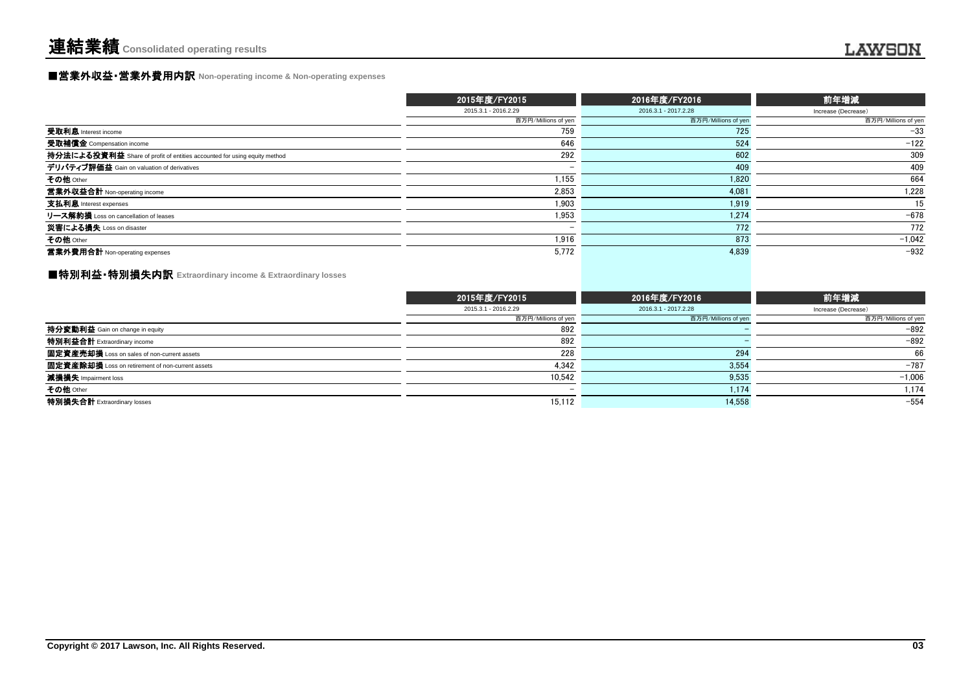#### ■営業外収益・営業外費用内訳 **Non-operating income & Non-operating expenses**

|                                                                          | 2015年度/FY2015        | 2016年度/FY2016        | 前年増減                |
|--------------------------------------------------------------------------|----------------------|----------------------|---------------------|
|                                                                          | 2015.3.1 - 2016.2.29 | 2016.3.1 - 2017.2.28 | Increase (Decrease) |
|                                                                          | 百万円/Millions of yen  | 百万円/Millions of yen  | 百万円/Millions of yen |
| 受取利息 Interest income                                                     | 759                  | 725                  | $-33$               |
| 受取補償金 Compensation income                                                | 646                  | 524                  | $-122$              |
| 持分法による投資利益 Share of profit of entities accounted for using equity method | 292                  | 602                  | 309                 |
| デリバティブ評価益 Gain on valuation of derivatives                               |                      | 409                  | 409                 |
| その他 Other                                                                | 1.155                | 1.820                | 664                 |
| 営業外収益合計 Non-operating income                                             | 2,853                | 4,081                | 1,228               |
| 支払利息 Interest expenses                                                   | 1.903                | 1.919                | 15                  |
| リース解約損 Loss on cancellation of leases                                    | 1,953                | 1.274                | $-678$              |
| 災害による損失 Loss on disaster                                                 |                      | 772                  | 772                 |
| その他 Other                                                                | 1,916                | 873                  | $-1,042$            |
| 営業外費用合計 Non-operating expenses                                           | 5.772                | 4.839                | $-932$              |

### ■特別利益・特別損失内訳 **Extraordinary income & Extraordinary losses**

|                                                  | 2015年度/FY2015            | 2016年度/FY2016        | 前年増減                |
|--------------------------------------------------|--------------------------|----------------------|---------------------|
|                                                  | 2015.3.1 - 2016.2.29     | 2016.3.1 - 2017.2.28 | Increase (Decrease) |
|                                                  | 百万円/Millions of yen      | 百万円/Millions of yen  | 百万円/Millions of yen |
| <b>持分変動利益</b> Gain on change in equity           | 892                      |                      | $-892$              |
| 特別利益合計 Extraordinary income                      | 892                      |                      | $-892$              |
| 固定資産売却損 Loss on sales of non-current assets      | 228                      | 294                  | 66                  |
| 固定資産除却損 Loss on retirement of non-current assets | 4,342                    | 3,554                | $-787$              |
| 減損損失 Impairment loss                             | 10.542                   | 9,535                | $-1,006$            |
| その他 Other                                        | $\overline{\phantom{0}}$ | 1.174                | 1,174               |
| 特別損失合計 Extraordinary losses                      | 15,112                   | 14,558               | $-554$              |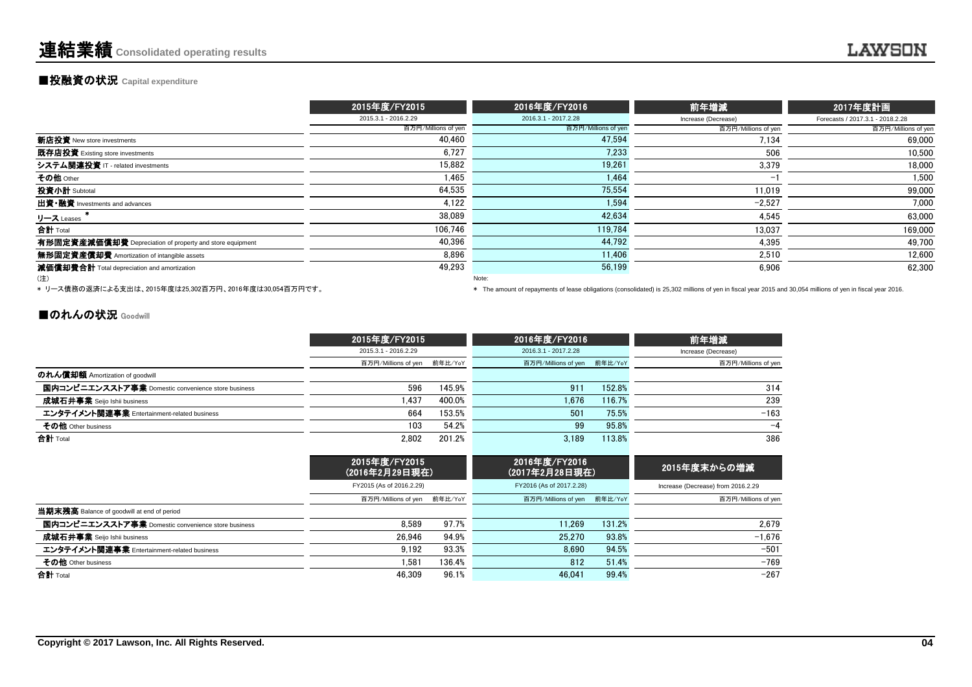#### **■投融資の状況 Capital expenditure**

|                                                          | 2015年度/FY2015        | 2016年度/FY2016        | 前年増減                     | 2017年度計画                         |
|----------------------------------------------------------|----------------------|----------------------|--------------------------|----------------------------------|
|                                                          | 2015.3.1 - 2016.2.29 | 2016.3.1 - 2017.2.28 | Increase (Decrease)      | Forecasts / 2017.3.1 - 2018.2.28 |
|                                                          | 百万円/Millions of yen  | 百万円/Millions of yen  | 百万円/Millions of yen      | 百万円/Millions of yen              |
| 新店投資 New store investments                               | 40,460               | 47,594               | 7,134                    | 69,000                           |
| 既存店投資 Existing store investments                         | 6.727                | 7.233                | 506                      | 10.500                           |
| システム関連投資 IT - related investments                        | 15,882               | 19,261               | 3,379                    | 18.000                           |
| その他 Other                                                | 1.465                | 1.464                | $\overline{\phantom{a}}$ | 1,500                            |
| 投資小計 Subtotal                                            | 64.535               | 75,554               | 11.019                   | 99,000                           |
| 出資•融資 Investments and advances                           | 4,122                | 1.594                | $-2,527$                 | 7,000                            |
| リース Leases                                               | 38,089               | 42,634               | 4.545                    | 63,000                           |
| 合計 Total                                                 | 106.746              | 119.784              | 13.037                   | 169,000                          |
| 有形固定資産減価償却費 Depreciation of property and store equipment | 40,396               | 44,792               | 4,395                    | 49,700                           |
| 無形固定資産償却費 Amortization of intangible assets              | 8.896                | 11.406               | 2.510                    | 12,600                           |
| 減価償却費合計 Total depreciation and amortization              | 49,293               | 56,199               | 6.906                    | 62,300                           |
| (注)                                                      |                      | Note:                |                          |                                  |

、<sub>・エノ</sub><br>\* リース債務の返済による支出は、2015年度は25,302百万円、2016年度は30,054百万円です。

\* リース債務の返済による支出は、2015年度は25,302百万円、2016年度は30,054百万円です。 \* The amount of repayments of lease obligations (consolidated) is 25,302 millions of yen in fiscal year 2015 and 30,054 millions of yen in fiscal year 2016.

#### ■のれんの状況 Goodwill

|                                                    | 2015年度/FY2015               |        | 2016年度/FY2016               |        | 前年増減                |
|----------------------------------------------------|-----------------------------|--------|-----------------------------|--------|---------------------|
|                                                    | 2015.3.1 - 2016.2.29        |        | 2016.3.1 - 2017.2.28        |        | Increase (Decrease) |
|                                                    | 百万円/Millions of yen 前年比/YoY |        | 百万円/Millions of yen 前年比/YoY |        | 百万円/Millions of yen |
| のれん償却額 Amortization of goodwill                    |                             |        |                             |        |                     |
| 国内コンビニエンスストア事業 Domestic convenience store business | 596                         | 145.9% | 911                         | 152.8% | 314                 |
| <b>成城石井事</b> 業 Seijo Ishii business                | .437                        | 400.0% | 1.676                       | 116.7% | 239                 |
| エンタテイメント関連事業 Entertainment-related business        | 664                         | 153.5% | 501                         | 75.5%  | $-163$              |
| その他 Other business                                 | 103                         | 54.2%  | 99                          | 95.8%  | $-4$                |
| 合計 Total                                           | 2.802                       | 201.2% | 3.189                       | 113.8% | 386                 |

|                                                    | 2015年度/FY2015<br>(2016年2月29日現在) |        | 2016年度/FY2016<br>(2017年2月28日現在) |        | 2015年度末からの増減                       |
|----------------------------------------------------|---------------------------------|--------|---------------------------------|--------|------------------------------------|
|                                                    | FY2015 (As of 2016.2.29)        |        | FY2016 (As of 2017.2.28)        |        | Increase (Decrease) from 2016.2.29 |
|                                                    | 百万円/Millions of yen 前年比/YoY     |        | 百万円/Millions of yen 前年比/YoY     |        | 百万円/Millions of yen                |
| 当期末残高 Balance of goodwill at end of period         |                                 |        |                                 |        |                                    |
| 国内コンビニエンスストア事業 Domestic convenience store business | 8.589                           | 97.7%  | 11.269                          | 131.2% | 2.679                              |
| 成城石井事業 Seijo Ishii business                        | 26.946                          | 94.9%  | 25.270                          | 93.8%  | $-1.676$                           |
| エンタテイメント関連事業 Entertainment-related business        | 9.192                           | 93.3%  | 8.690                           | 94.5%  | $-501$                             |
| その他 Other business                                 | .581                            | 136.4% | 812                             | 51.4%  | $-769$                             |
| 合計 Total                                           | 46.309                          | 96.1%  | 46.041                          | 99.4%  | $-267$                             |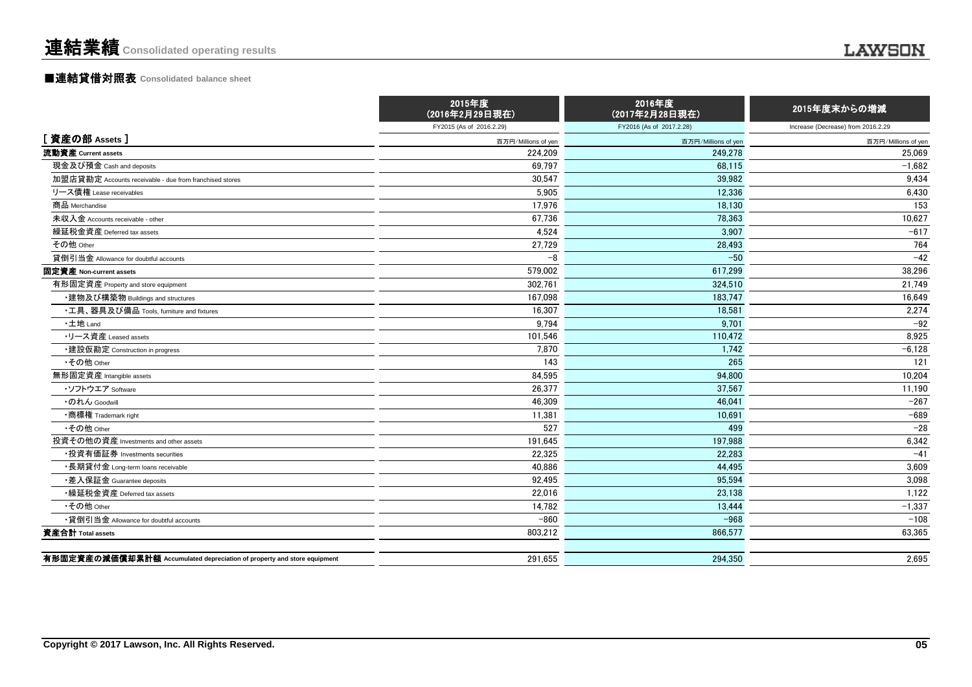## ■連結貸借対照表 **Consolidated balance sheet**

|                                                                         | 2015年度<br>(2016年2月29日現在) | 2016年度<br>(2017年2月28日現在) | 2015年度末からの増減                       |
|-------------------------------------------------------------------------|--------------------------|--------------------------|------------------------------------|
|                                                                         | FY2015 (As of 2016.2.29) | FY2016 (As of 2017.2.28) | Increase (Decrease) from 2016.2.29 |
| [資産の部 Assets]                                                           | 百万円/Millions of yen      | 百万円/Millions of yen      | 百万円/Millions of yen                |
| 流動資産 Current assets                                                     | 224,209                  | 249.278                  | 25,069                             |
| 現金及び預金 Cash and deposits                                                | 69,797                   | 68,115                   | $-1,682$                           |
| 加盟店貸勘定 Accounts receivable - due from franchised stores                 | 30,547                   | 39.982                   | 9,434                              |
| リース債権 Lease receivables                                                 | 5,905                    | 12,336                   | 6,430                              |
| 商品 Merchandise                                                          | 17,976                   | 18,130                   | 153                                |
| 未収入金 Accounts receivable - other                                        | 67.736                   | 78.363                   | 10,627                             |
| 繰延税金資産 Deferred tax assets                                              | 4,524                    | 3.907                    | $-617$                             |
| その他 Other                                                               | 27,729                   | 28.493                   | 764                                |
| 貸倒引当金 Allowance for doubtful accounts                                   | $-8$                     | $-50$                    | $-42$                              |
| 固定資産 Non-current assets                                                 | 579,002                  | 617.299                  | 38,296                             |
| 有形固定資産 Property and store equipment                                     | 302,761                  | 324,510                  | 21,749                             |
| ・建物及び構築物 Buildings and structures                                       | 167,098                  | 183,747                  | 16,649                             |
| ・工具、器具及び備品 Tools, furniture and fixtures                                | 16,307                   | 18,581                   | 2,274                              |
| ·土地 Land                                                                | 9.794                    | 9.701                    | $-92$                              |
| ・リース資産 Leased assets                                                    | 101,546                  | 110.472                  | 8,925                              |
| •建設仮勘定 Construction in progress                                         | 7,870                    | 1,742                    | $-6,128$                           |
| •その他 Other                                                              | 143                      | 265                      | 121                                |
| 無形固定資産 Intangible assets                                                | 84,595                   | 94,800                   | 10,204                             |
| ・ソフトウエア Software                                                        | 26,377                   | 37.567                   | 11,190                             |
| ・のれん Goodwill                                                           | 46,309                   | 46.041                   | $-267$                             |
| •商標権 Trademark right                                                    | 11,381                   | 10.691                   | $-689$                             |
| •その他 Other                                                              | 527                      | 499                      | $-28$                              |
| 投資その他の資産 Investments and other assets                                   | 191,645                  | 197.988                  | 6,342                              |
| •投資有価証券 Investments securities                                          | 22,325                   | 22.283                   | $-41$                              |
| •長期貸付金 Long-term loans receivable                                       | 40,886                   | 44,495                   | 3,609                              |
| ・差入保証金 Guarantee deposits                                               | 92,495                   | 95,594                   | 3,098                              |
| •繰延税金資産 Deferred tax assets                                             | 22,016                   | 23,138                   | 1,122                              |
| •その他 Other                                                              | 14,782                   | 13.444                   | $-1,337$                           |
| •貸倒引当金 Allowance for doubtful accounts                                  | $-860$                   | $-968$                   | $-108$                             |
| 資産合計 Total assets                                                       | 803,212                  | 866,577                  | 63,365                             |
| 有形固定資産の減価償却累計額 Accumulated depreciation of property and store equipment | 291.655                  | 294.350                  | 2.695                              |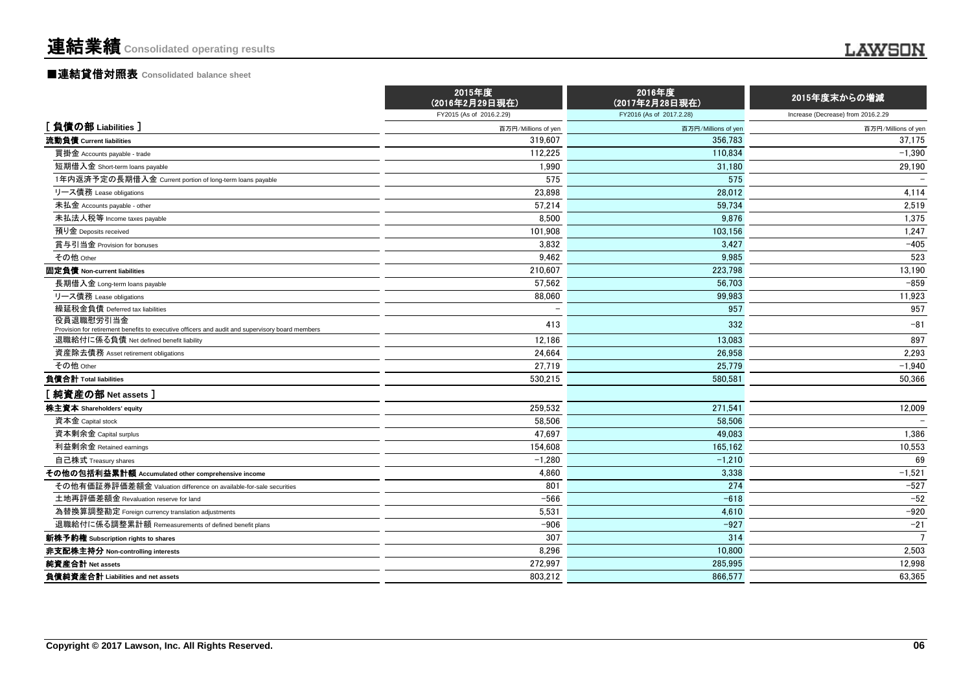|                                                                                                                                            | 2015年度<br>(2016年2月29日現在) | 2016年度<br>(2017年2月28日現在) | 2015年度末からの増減                       |
|--------------------------------------------------------------------------------------------------------------------------------------------|--------------------------|--------------------------|------------------------------------|
|                                                                                                                                            | FY2015 (As of 2016.2.29) | FY2016 (As of 2017.2.28) | Increase (Decrease) from 2016.2.29 |
| [負債の部 Liabilities]                                                                                                                         | 百万円/Millions of yen      | 百万円/Millions of yen      | 百万円/Millions of yen                |
| 流動負債 Current liabilities                                                                                                                   | 319.607                  | 356.783                  | 37,175                             |
| 買掛金 Accounts payable - trade                                                                                                               | 112,225                  | 110.834                  | $-1,390$                           |
| 短期借入金 Short-term loans payable                                                                                                             | 1,990                    | 31,180                   | 29,190                             |
| 1年内返済予定の長期借入金 Current portion of long-term loans payable                                                                                   | 575                      | 575                      |                                    |
| リース債務 Lease obligations                                                                                                                    | 23,898                   | 28,012                   | 4,114                              |
| 未払金 Accounts payable - other                                                                                                               | 57,214                   | 59.734                   | 2,519                              |
| 未払法人税等 Income taxes payable                                                                                                                | 8,500                    | 9,876                    | 1,375                              |
| 預り金 Deposits received                                                                                                                      | 101,908                  | 103,156                  | 1,247                              |
| 賞与引当金 Provision for bonuses                                                                                                                | 3.832                    | 3,427                    | $-405$                             |
| その他 Other                                                                                                                                  | 9.462                    | 9.985                    | 523                                |
| 固定負債 Non-current liabilities                                                                                                               | 210,607                  | 223,798                  | 13,190                             |
| 長期借入金 Long-term loans payable                                                                                                              | 57.562                   | 56.703                   | $-859$                             |
| リース債務 Lease obligations                                                                                                                    | 88,060                   | 99,983                   | 11,923                             |
| 繰延税金負債 Deferred tax liabilities                                                                                                            |                          | 957                      | 957                                |
| 役員退職慰労引当金                                                                                                                                  | 413                      | 332                      | $-81$                              |
| Provision for retirement benefits to executive officers and audit and supervisory board members<br>退職給付に係る負債 Net defined benefit liability | 12,186                   | 13.083                   | 897                                |
| 資産除去債務 Asset retirement obligations                                                                                                        | 24,664                   | 26.958                   | 2,293                              |
| その他 Other                                                                                                                                  | 27,719                   | 25,779                   |                                    |
| 負債合計 Total liabilities                                                                                                                     | 530,215                  | 580.581                  | $-1,940$<br>50,366                 |
|                                                                                                                                            |                          |                          |                                    |
| [純資産の部 Net assets]                                                                                                                         |                          |                          |                                    |
| 株主資本 Shareholders' equity                                                                                                                  | 259.532                  | 271.541                  | 12,009                             |
| 資本金 Capital stock                                                                                                                          | 58,506                   | 58,506                   |                                    |
| 資本剰余金 Capital surplus                                                                                                                      | 47,697                   | 49,083                   | 1,386                              |
| 利益剰余金 Retained earnings                                                                                                                    | 154,608                  | 165.162                  | 10,553                             |
| 自己株式 Treasury shares                                                                                                                       | $-1,280$                 | $-1,210$                 | 69                                 |
| その他の包括利益累計額 Accumulated other comprehensive income                                                                                         | 4,860                    | 3,338                    | $-1,521$                           |
| その他有価証券評価差額金 Valuation difference on available-for-sale securities                                                                         | 801                      | 274                      | $-527$                             |
| 土地再評価差額金 Revaluation reserve for land                                                                                                      | $-566$                   | $-618$                   | $-52$                              |
| 為替換算調整勘定 Foreign currency translation adjustments                                                                                          | 5,531                    | 4,610                    | $-920$                             |
| 退職給付に係る調整累計額 Remeasurements of defined benefit plans                                                                                       | $-906$                   | $-927$                   | $-21$                              |
| 新株予約権 Subscription rights to shares                                                                                                        | 307                      | 314                      | $\overline{7}$                     |
| 非支配株主持分 Non-controlling interests                                                                                                          | 8.296                    | 10.800                   | 2,503                              |
| 純資産合計 Net assets                                                                                                                           | 272,997                  | 285.995                  | 12,998                             |
| 負債純資産合計 Liabilities and net assets                                                                                                         | 803,212                  | 866,577                  | 63.365                             |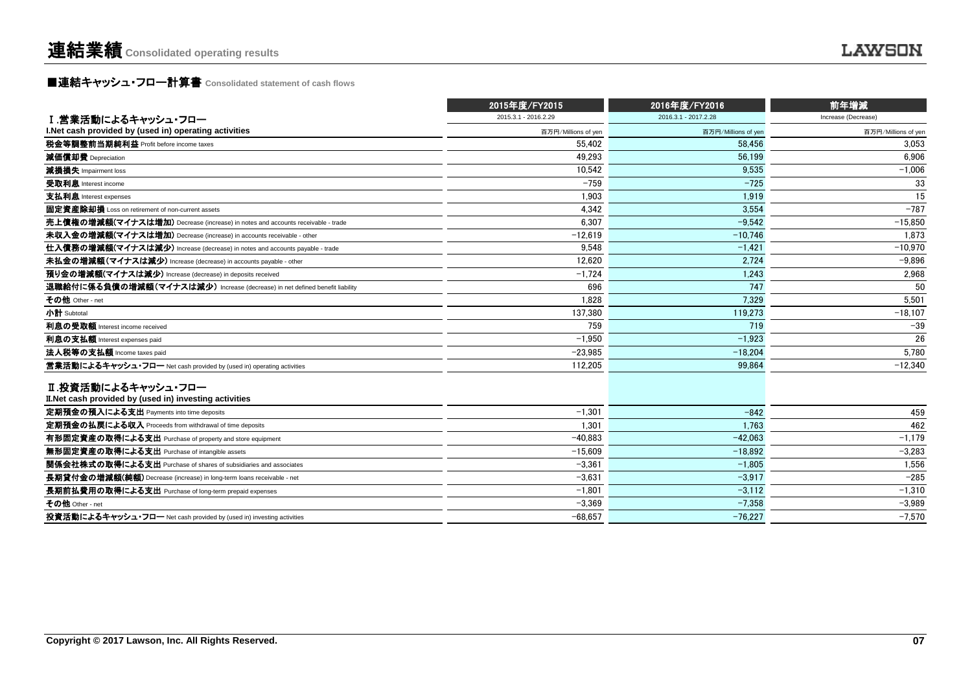**■連結キャッシュ・フロー計算書** Consolidated statement of cash flows

|                                                                                | 2015年度/FY2015        | 2016年度/FY2016        | 前年増減                |
|--------------------------------------------------------------------------------|----------------------|----------------------|---------------------|
| Ⅰ.営業活動によるキャッシュ・フロー                                                             | 2015.3.1 - 2016.2.29 | 2016.3.1 - 2017.2.28 | Increase (Decrease) |
| I. Net cash provided by (used in) operating activities                         | 百万円/Millions of yen  | 百万円/Millions of yen  | 百万円/Millions of yen |
| 税金等調整前当期純利益 Profit before income taxes                                         | 55.402               | 58.456               | 3.053               |
| 減価償却費 Depreciation                                                             | 49.293               | 56.199               | 6.906               |
| 減損損失 Impairment loss                                                           | 10,542               | 9.535                | $-1,006$            |
| 受取利息 Interest income                                                           | $-759$               | $-725$               | 33                  |
| 支払利息 Interest expenses                                                         | 1.903                | 1.919                | 15                  |
| 固定資産除却損 Loss on retirement of non-current assets                               | 4,342                | 3.554                | $-787$              |
| 売上債権の増減額(マイナスは増加) Decrease (increase) in notes and accounts receivable - trade | 6,307                | $-9.542$             | $-15,850$           |
| 未収入金の増減額(マイナスは増加) Decrease (increase) in accounts receivable - other           | $-12,619$            | $-10.746$            | 1.873               |
| 仕入債務の増減額(マイナスは減少) Increase (decrease) in notes and accounts payable - trade    | 9.548                | $-1.421$             | $-10.970$           |
| 未払金の増減額(マイナスは減少) Increase (decrease) in accounts payable - other               | 12.620               | 2.724                | $-9.896$            |
| 預り金の増減額(マイナスは減少) Increase (decrease) in deposits received                      | $-1,724$             | 1,243                | 2,968               |
| 退職給付に係る負債の増減額(マイナスは減少) Increase (decrease) in net defined benefit liability    | 696                  | 747                  | 50                  |
| その他 Other - net                                                                | 1,828                | 7.329                | 5,501               |
| 小計 Subtotal                                                                    | 137.380              | 119.273              | $-18,107$           |
| 利息の受取額 Interest income received                                                | 759                  | 719                  | $-39$               |
| 利息の支払額 Interest expenses paid                                                  | $-1.950$             | $-1.923$             | 26                  |
| 法人税等の支払額 Income taxes paid                                                     | $-23,985$            | $-18.204$            | 5,780               |
| 営業活動によるキャッシュ・フロー Net cash provided by (used in) operating activities           | 112,205              | 99,864               | $-12,340$           |
| Ⅱ.投資活動によるキャッシュ・フロー<br>II. Net cash provided by (used in) investing activities  |                      |                      |                     |
| 定期預金の預入による支出 Payments into time deposits                                       | $-1.301$             | $-842$               | 459                 |
| 定期預金の払戻による収入 Proceeds from withdrawal of time deposits                         | 1.301                | 1.763                | 462                 |
| 有形固定資産の取得による支出 Purchase of property and store equipment                        | $-40.883$            | $-42.063$            | $-1,179$            |
| 無形固定資産の取得による支出 Purchase of intangible assets                                   | $-15,609$            | $-18.892$            | $-3,283$            |
| 関係会社株式の取得による支出 Purchase of shares of subsidiaries and associates               | $-3,361$             | $-1.805$             | 1.556               |
| 長期貸付金の増減額(純額) Decrease (increase) in long-term loans receivable - net          | $-3.631$             | $-3.917$             | $-285$              |
| 長期前払費用の取得による支出 Purchase of long-term prepaid expenses                          | $-1.801$             | $-3.112$             | $-1,310$            |
| その他 Other - net                                                                | $-3,369$             | $-7,358$             | $-3,989$            |
| 投資活動によるキャッシュ・フロー Net cash provided by (used in) investing activities           | $-68.657$            | $-76.227$            | $-7.570$            |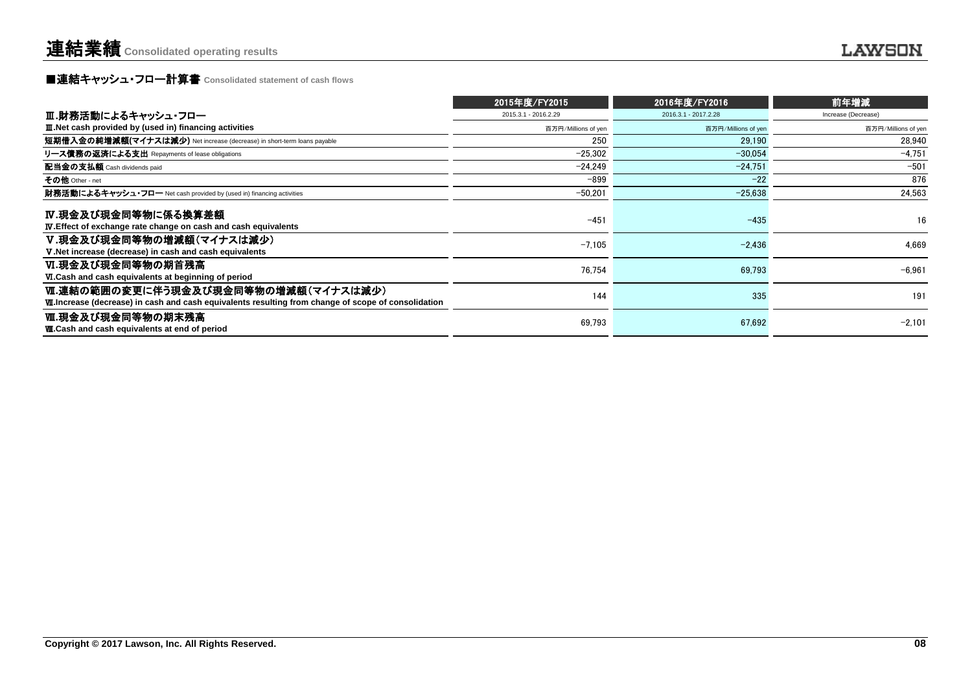## **■連結キャッシュ・フロー計算書** Consolidated statement of cash flows

|                                                                                                                                                  | 2015年度/FY2015        | 2016年度/FY2016        | 前年増減                |
|--------------------------------------------------------------------------------------------------------------------------------------------------|----------------------|----------------------|---------------------|
| Ⅲ.財務活動によるキャッシュ・フロー                                                                                                                               | 2015.3.1 - 2016.2.29 | 2016.3.1 - 2017.2.28 | Increase (Decrease) |
| <b>III. Net cash provided by (used in) financing activities</b>                                                                                  | 百万円/Millions of yen  | 百万円/Millions of yen  | 百万円/Millions of yen |
| 短期借入金の純増減額(マイナスは減少) Net increase (decrease) in short-term loans payable                                                                          | 250                  | 29.190               | 28.940              |
| リース債務の返済による支出 Repayments of lease obligations                                                                                                    | $-25.302$            | $-30.054$            | $-4.751$            |
| 配当金の支払額 Cash dividends paid                                                                                                                      | $-24.249$            | $-24.751$            | $-501$              |
| その他 Other - net                                                                                                                                  | -899                 | $-22$                | 876                 |
| 財務活動によるキャッシュ・フロー Net cash provided by (used in) financing activities                                                                             | -50,201              | $-25,638$            | 24,563              |
| IV.現金及び現金同等物に係る換算差額<br><b>IV.</b> Effect of exchange rate change on cash and cash equivalents                                                    | $-451$               | $-435$               | 16                  |
| V.現金及び現金同等物の増減額(マイナスは減少)<br>V. Net increase (decrease) in cash and cash equivalents                                                              | $-7,105$             | $-2,436$             | 4.669               |
| Ⅵ.現金及び現金同等物の期首残高<br>VI.Cash and cash equivalents at beginning of period                                                                          | 76,754               | 69.793               | $-6.961$            |
| Ⅵ.連結の範囲の変更に伴う現金及び現金同等物の増減額(マイナスは減少)<br><b>M.Increase (decrease) in cash and cash equivalents resulting from change of scope of consolidation</b> | 144                  | 335                  | 191                 |
| Ⅷ.現金及び現金同等物の期末残高<br><b>W.Cash and cash equivalents at end of period</b>                                                                          | 69,793               | 67,692               | $-2.101$            |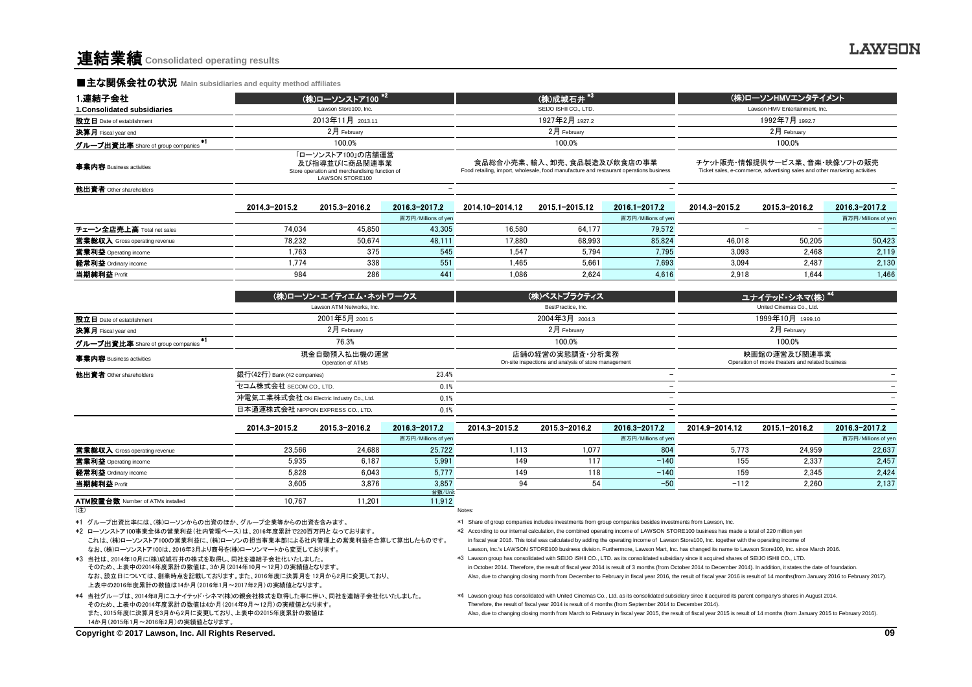#### **■主な関係会社の状況 Main subsidiaries and equity method affiliates**

| 1.連結子会社                           |               | (株)ローソンストア100 <sup>*2</sup>                                                                            |                     |                                                                                                                      | (株)成城石井*3             |                     | (株)ローソンHMVエンタテイメント                                                                                         |               |                     |  |
|-----------------------------------|---------------|--------------------------------------------------------------------------------------------------------|---------------------|----------------------------------------------------------------------------------------------------------------------|-----------------------|---------------------|------------------------------------------------------------------------------------------------------------|---------------|---------------------|--|
| 1. Consolidated subsidiaries      |               | Lawson Store100, Inc.                                                                                  |                     |                                                                                                                      | SEIJO ISHII CO., LTD. |                     | Lawson HMV Entertainment, Inc.                                                                             |               |                     |  |
| 設立日 Date of establishment         |               | 2013年11月 2013.11                                                                                       |                     | 1927年2月 1927.2                                                                                                       |                       |                     | 1992年7月 1992.7                                                                                             |               |                     |  |
| <b>決算月</b> Fiscal year end        |               | $2$ 月 February                                                                                         |                     | $2$ 月 February                                                                                                       |                       |                     | 2月 February                                                                                                |               |                     |  |
| グループ出資比率 Share of group companies |               | 100.0%                                                                                                 |                     | 100.0%                                                                                                               |                       |                     | 100.0%                                                                                                     |               |                     |  |
| 事業内容 Business activities          |               | 「ローソンストア100」の店舗運営<br>及び指導並びに商品関連事業<br>Store operation and merchandising function of<br>LAWSON STORE100 |                     | 食品総合小売業、輸入、卸売、食品製造及び飲食店の事業<br>Food retailing, import, wholesale, food manufacture and restaurant operations business |                       |                     | チケット販売・情報提供サービス業、音楽・映像ソフトの販売<br>Ticket sales, e-commerce, advertising sales and other marketing activities |               |                     |  |
| 他出資者 Other shareholders           |               |                                                                                                        |                     |                                                                                                                      |                       |                     |                                                                                                            |               |                     |  |
|                                   | 2014.3-2015.2 | 2015.3-2016.2                                                                                          | 2016.3-2017.2       | 2014.10-2014.12                                                                                                      | 2015.1-2015.12        | 2016.1-2017.2       | 2014.3-2015.2                                                                                              | 2015.3-2016.2 | 2016.3-2017.2       |  |
|                                   |               |                                                                                                        | 百万円/Millions of yen |                                                                                                                      |                       | 百万円/Millions of yen |                                                                                                            |               | 百万円/Millions of yen |  |
| チェーン全店帯上高 Total net sales         | 74 034        | 45850                                                                                                  | 43.305              | 16.580                                                                                                               | 64 1 7 7              | 79.572              |                                                                                                            |               |                     |  |

| チェーン全店売上高 Total net sales     | 74.034 | 15.850               | 43.305 | 16.580 | <b>CA 177</b><br>04, I / / | 79,572 |        |        |        |
|-------------------------------|--------|----------------------|--------|--------|----------------------------|--------|--------|--------|--------|
| 當業総収入 Gross operating revenue | 78.232 | 50.674               | 48.111 | 17.880 | 68.993                     | 85.824 | 46.018 | 50.205 | 50.423 |
| 営業利益 Ope<br>nerating income   | .763   | つつに<br><u> 7 J J</u> | - 45   | .547   | 5.794                      | 7.795  | 3.093  | 2.468  | 2.119  |
| 経常利益 Ordinary income          | 77.    | 338                  |        | .465   | $5.66^{\circ}$             | 7.693  | 3.094  | 2.487  | 2.13C  |
| 当期純利益 Profit                  | 984    | 286                  | 441    | 1,086  | 2,624                      | 4.616  | 2,918  | 1.644  | .466   |

|                                         |                                   | (株)ローソン・エイティエム・ネットワークス                    |                     |                                                                         | (株)ベストプラクティス   |                                                                  |                          | ユナイテッド・シネマ(株) *4 |                     |  |
|-----------------------------------------|-----------------------------------|-------------------------------------------|---------------------|-------------------------------------------------------------------------|----------------|------------------------------------------------------------------|--------------------------|------------------|---------------------|--|
|                                         |                                   | Lawson ATM Networks, Inc.                 |                     | BestPractice, Inc.                                                      |                |                                                                  | United Cinemas Co., Ltd. |                  |                     |  |
| 設立日 Date of establishment               |                                   | 2001年5月 2001.5                            |                     | 2004年3月 2004.3                                                          |                |                                                                  |                          | 1999年10月 1999.10 |                     |  |
| 決算月 Fiscal year end                     |                                   | $2$ 月 February                            |                     |                                                                         | $2$ 月 February |                                                                  |                          | $2$ 月 February   |                     |  |
| *1<br>グループ出資比率 Share of group companies |                                   | 76.3%                                     |                     | 100.0%                                                                  |                |                                                                  | 100.0%                   |                  |                     |  |
| 事業内容 Business activities                |                                   | 現金自動預入払出機の運営<br>Operation of ATMs         |                     | 店舗の経営の実態調査・分析業務<br>On-site inspections and analysis of store management |                | 映画館の運営及び関連事業<br>Operation of movie theaters and related business |                          |                  |                     |  |
| 他出資者 Other shareholders                 | 銀行(42行) Bank (42 companies)       |                                           | 23.4%               |                                                                         |                |                                                                  |                          |                  |                     |  |
|                                         | セコム株式会社 SECOM CO., LTD.           |                                           | 0.1%                |                                                                         |                |                                                                  |                          |                  |                     |  |
|                                         |                                   | 沖電気工業株式会社 Oki Electric Industry Co., Ltd. |                     |                                                                         |                |                                                                  |                          |                  |                     |  |
|                                         | 日本通運株式会社 NIPPON EXPRESS CO., LTD. |                                           | 0.1%                |                                                                         |                |                                                                  |                          |                  |                     |  |
|                                         | 2014.3-2015.2                     | 2015.3-2016.2                             | 2016.3-2017.2       | 2014.3-2015.2                                                           | 2015.3-2016.2  | 2016.3-2017.2                                                    | 2014.9-2014.12           | 2015.1-2016.2    | 2016.3-2017.2       |  |
|                                         |                                   |                                           | 百万円/Millions of yen |                                                                         |                | 百万円/Millions of yen                                              |                          |                  | 百万円/Millions of yen |  |
| 営業総収入 Gross operating revenue           | 23.566                            | 24.688                                    | 25.722              | 1.113                                                                   | 1.077          | 804                                                              | 5.773                    | 24.959           | 22.637              |  |
| 営業利益 Operating income                   | 5.935                             | 6.187                                     | 5.991               | 149                                                                     | 117            | $-140$                                                           | 155                      | 2.337            | 2.457               |  |
| 経常利益 Ordinary income                    | 5,828                             | 6.043                                     | 5,777               | 149                                                                     | 118            | $-140$                                                           | 159                      | 2,345            | 2,424               |  |

当期純利益 Profit 3,605 3,875 94 54 −50 −112 2,260 2,137

台数/Unit

ATM設置台数 Number of ATMs installed 10.767 11.201 11.912 (注) Notes:

\*1 グループ出資比率には、(株)ローソンからの出資のほか、グループ企業等からの出資を含みます。

これは、(株)ローソンストア100の営業利益に、(株)ローソンの担当事業本部による社内管理上の営業利益を合算して算出したものです。 なお、(株)ローソンストア100は、2016年3月より商号を(株)ローソンマートから変更しております。 \*2 ローソンストア100事業全体の営業利益(社内管理ベース)は、2016年度累計で220百万円となっております。 \*\*\* According to our internal calculation, the combined operating income of LAWSON STORE100 business has made a total of 220 million yen

なお、設立日については、創業時点を記載しております。また、2016年度に決算月を 12月から2月に変更しており、 上表中の2016年度累計の数値は14か月(2016年1月~2017年2月)の実績値となります。 そのため、上表中の2014年度累計の数値は、3か月(2014年10月~12月)の実績値となります。

そのため、上表中の2014年度累計の数値は4か月(2014年9月~12月)の実績値となります。 14か月(2015年1月~2016年2月)の実績値となります。 また、2015年度に決算月を3月から2月に変更しており、上表中の2015年度累計の数値は

\*1 Share of group companies includes investments from group companies besides investments from Lawson, Inc.

in fiscal year 2016. This total was calculated by adding the operating income of Lawson Store100, Inc. together with the operating income of

 Lawson, Inc.'s LAWSON STORE100 business division. Furthermore, Lawson Mart, Inc. has changed its name to Lawson Store100, Inc. since March 2016. \*3 当社は、2014年10月に(株)成城石井の株式を取得し、同社を連結子会社化いたしました。 \*\*\* \*\*\* Hawson group has consolidated with SEIJO ISHII CO., LTD. as its consolidated subsidiary since it acquired shares of SEIJO ISHII CO., LTD. in October 2014. Therefore, the result of fiscal year 2014 is result of 3 months (from October 2014 to December 2014). In addition, it states the date of foundation.

Also, due to changing closing month from December to February in fiscal year 2016, the result of fiscal year 2016 is result of 14 months(from January 2016 to February 2017).

\*4 当社グループは、2014年8月にユナイテッド・シネマ(株)の親会社株式を取得した事に伴い、同社を連結子会社化いたしました。 \*\*4 Lawson group has consolidated with United Cinemas Co., Ltd. as its consolidated subsidiary since it acquired its parent company's shares in August 2014 Therefore, the result of fiscal year 2014 is result of 4 months (from September 2014 to December 2014).

Also, due to changing closing month from March to February in fiscal year 2015, the result of fiscal year 2015 is result of 14 months (from January 2015 to February 2016).

**Copyright © 2017 Lawson, Inc. All Rights Reserved. 09**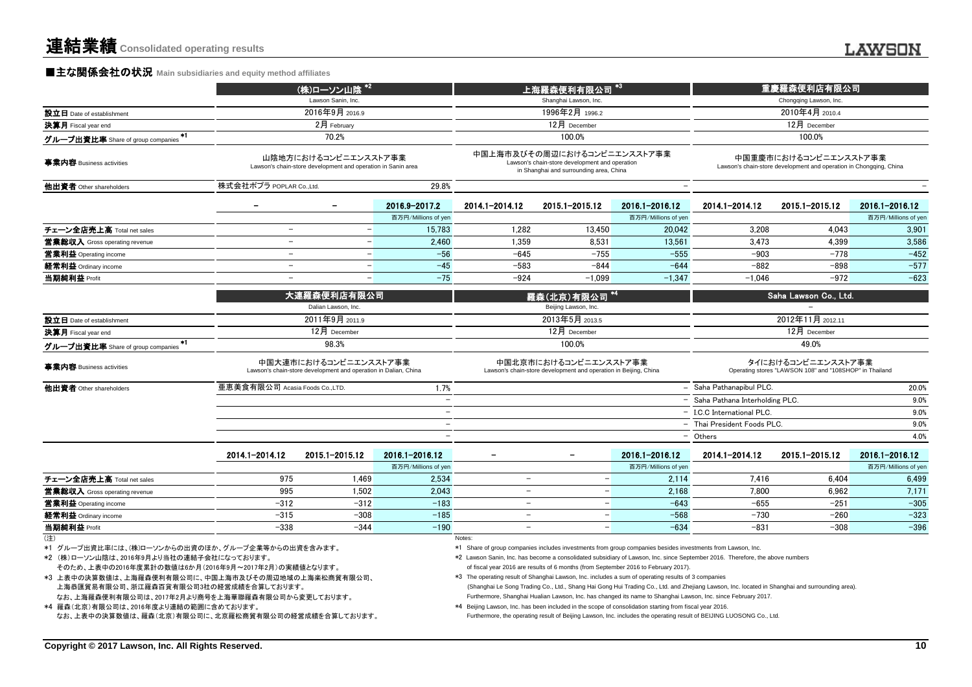#### **■主な関係会社の状況** Main subsidiaries and equity method affiliates

|                                                                                                                                                                                                                                                                                                         |                              | (株)ローソン山陰 *2                                                                             |                          |                                                                                                                                                                                                                                                                                                                                                     | 上海羅森便利有限公司                                                                                                               | $^{\ast}3$          | 重慶羅森便利店有限公司                                                                                                                                                                                                                                                     |                                                                                             |                     |  |
|---------------------------------------------------------------------------------------------------------------------------------------------------------------------------------------------------------------------------------------------------------------------------------------------------------|------------------------------|------------------------------------------------------------------------------------------|--------------------------|-----------------------------------------------------------------------------------------------------------------------------------------------------------------------------------------------------------------------------------------------------------------------------------------------------------------------------------------------------|--------------------------------------------------------------------------------------------------------------------------|---------------------|-----------------------------------------------------------------------------------------------------------------------------------------------------------------------------------------------------------------------------------------------------------------|---------------------------------------------------------------------------------------------|---------------------|--|
|                                                                                                                                                                                                                                                                                                         |                              | Lawson Sanin, Inc.                                                                       |                          |                                                                                                                                                                                                                                                                                                                                                     | Shanghai Lawson, Inc.                                                                                                    |                     | Chongqing Lawson, Inc.                                                                                                                                                                                                                                          |                                                                                             |                     |  |
| 設立日 Date of establishment                                                                                                                                                                                                                                                                               |                              | 2016年9月 2016.9                                                                           |                          |                                                                                                                                                                                                                                                                                                                                                     | 1996年2月 1996.2                                                                                                           |                     |                                                                                                                                                                                                                                                                 | 2010年4月 2010.4                                                                              |                     |  |
| 決算月 Fiscal year end                                                                                                                                                                                                                                                                                     |                              | 2月 February                                                                              |                          |                                                                                                                                                                                                                                                                                                                                                     | 12月 December                                                                                                             |                     |                                                                                                                                                                                                                                                                 | 12月 December                                                                                |                     |  |
| グループ出資比率 Share of group companies                                                                                                                                                                                                                                                                       |                              | 70.2%                                                                                    |                          |                                                                                                                                                                                                                                                                                                                                                     | 100.0%                                                                                                                   |                     |                                                                                                                                                                                                                                                                 | 100.0%                                                                                      |                     |  |
| 事業内容 Business activities                                                                                                                                                                                                                                                                                |                              | 山陰地方におけるコンビニエンスストア事業<br>Lawson's chain-store development and operation in Sanin area     |                          |                                                                                                                                                                                                                                                                                                                                                     | 中国上海市及びその周辺におけるコンビニエンスストア事業<br>Lawson's chain-store development and operation<br>in Shanghai and surrounding area, China |                     |                                                                                                                                                                                                                                                                 | 中国重慶市におけるコンビニエンスストア事業<br>Lawson's chain-store development and operation in Chongqing, China |                     |  |
| 他出資者 Other shareholders                                                                                                                                                                                                                                                                                 | 株式会社ポプラ POPLAR CoLtd.        |                                                                                          | 29.8%                    |                                                                                                                                                                                                                                                                                                                                                     |                                                                                                                          |                     |                                                                                                                                                                                                                                                                 |                                                                                             |                     |  |
|                                                                                                                                                                                                                                                                                                         |                              |                                                                                          | 2016.9-2017.2            | 2014.1-2014.12                                                                                                                                                                                                                                                                                                                                      | 2015.1-2015.12                                                                                                           | 2016.1-2016.12      | 2014.1-2014.12                                                                                                                                                                                                                                                  | 2015.1-2015.12                                                                              | 2016.1-2016.12      |  |
|                                                                                                                                                                                                                                                                                                         |                              |                                                                                          | 百万円/Millions of yen      |                                                                                                                                                                                                                                                                                                                                                     |                                                                                                                          | 百万円/Millions of yen |                                                                                                                                                                                                                                                                 |                                                                                             | 百万円/Millions of yen |  |
| チェーン全店売上高 Total net sales                                                                                                                                                                                                                                                                               | $\overline{\phantom{a}}$     | $\overline{\phantom{0}}$                                                                 | 15.783                   | 1.282                                                                                                                                                                                                                                                                                                                                               | 13.450                                                                                                                   | 20.042              | 3.208                                                                                                                                                                                                                                                           | 4.043                                                                                       | 3,901               |  |
| 営業総収入 Gross operating revenue                                                                                                                                                                                                                                                                           | $\equiv$                     | $\qquad \qquad -$                                                                        | 2,460                    | 1.359                                                                                                                                                                                                                                                                                                                                               | 8.531                                                                                                                    | 13,561              | 3,473                                                                                                                                                                                                                                                           | 4.399                                                                                       | 3,586               |  |
| 営業利益 Operating income                                                                                                                                                                                                                                                                                   | $\overline{\phantom{a}}$     | $\overline{\phantom{0}}$                                                                 | $-56$                    | $-645$                                                                                                                                                                                                                                                                                                                                              | $-755$                                                                                                                   | $-555$              | $-903$                                                                                                                                                                                                                                                          | $-778$                                                                                      | $-452$              |  |
| 経常利益 Ordinary income                                                                                                                                                                                                                                                                                    | $\equiv$                     | $\overline{\phantom{0}}$                                                                 | $-45$                    | $-583$                                                                                                                                                                                                                                                                                                                                              | $-844$                                                                                                                   | $-644$              | $-882$                                                                                                                                                                                                                                                          | $-898$                                                                                      | $-577$              |  |
| 当期純利益 Profit                                                                                                                                                                                                                                                                                            | $\equiv$                     | $\equiv$                                                                                 | $-75$                    | $-924$                                                                                                                                                                                                                                                                                                                                              | $-1.099$                                                                                                                 | $-1.347$            | $-1.046$                                                                                                                                                                                                                                                        | $-972$                                                                                      | $-623$              |  |
|                                                                                                                                                                                                                                                                                                         |                              | 大連羅森便利店有限公司<br>Dalian Lawson, Inc.                                                       |                          |                                                                                                                                                                                                                                                                                                                                                     | 羅森(北京)有限公司<br>Beijing Lawson, Inc.                                                                                       |                     |                                                                                                                                                                                                                                                                 | Saha Lawson Co., Ltd.                                                                       |                     |  |
|                                                                                                                                                                                                                                                                                                         |                              | 2011年9月 2011.9                                                                           |                          |                                                                                                                                                                                                                                                                                                                                                     | 2013年5月 2013.5                                                                                                           |                     |                                                                                                                                                                                                                                                                 | 2012年11月 2012.11                                                                            |                     |  |
| 設立日 Date of establishment<br>決算月 Fiscal year end                                                                                                                                                                                                                                                        |                              | $12月$ December                                                                           |                          | 12月 December                                                                                                                                                                                                                                                                                                                                        |                                                                                                                          |                     |                                                                                                                                                                                                                                                                 | 12月 December                                                                                |                     |  |
|                                                                                                                                                                                                                                                                                                         |                              | 98.3%                                                                                    |                          | 100.0%                                                                                                                                                                                                                                                                                                                                              |                                                                                                                          |                     |                                                                                                                                                                                                                                                                 | 49.0%                                                                                       |                     |  |
| グループ出資比率 Share of group companies <sup>*1</sup>                                                                                                                                                                                                                                                         |                              |                                                                                          |                          |                                                                                                                                                                                                                                                                                                                                                     |                                                                                                                          |                     |                                                                                                                                                                                                                                                                 |                                                                                             |                     |  |
| 事業内容 Business activities                                                                                                                                                                                                                                                                                |                              | 中国大連市におけるコンビニエンスストア事業<br>Lawson's chain-store development and operation in Dalian, China |                          | 中国北京市におけるコンビニエンスストア事業<br>Lawson's chain-store development and operation in Beijing, China                                                                                                                                                                                                                                                           |                                                                                                                          |                     |                                                                                                                                                                                                                                                                 | タイにおけるコンビニエンスストア事業<br>Operating stores "LAWSON 108" and "108SHOP" in Thailand               |                     |  |
| 他出資者 Other shareholders                                                                                                                                                                                                                                                                                 | 亜恵美食有限公司 Acasia Foods CoLTD. |                                                                                          | 1.7%                     |                                                                                                                                                                                                                                                                                                                                                     |                                                                                                                          |                     | - Saha Pathanapibul PLC                                                                                                                                                                                                                                         |                                                                                             | 20.0%               |  |
|                                                                                                                                                                                                                                                                                                         |                              |                                                                                          | $\overline{\phantom{a}}$ |                                                                                                                                                                                                                                                                                                                                                     |                                                                                                                          |                     | - Saha Pathana Interholding PLC.                                                                                                                                                                                                                                |                                                                                             | 9.0%                |  |
|                                                                                                                                                                                                                                                                                                         |                              |                                                                                          |                          |                                                                                                                                                                                                                                                                                                                                                     |                                                                                                                          |                     | - I.C.C International PLC.                                                                                                                                                                                                                                      |                                                                                             | 9.0%                |  |
|                                                                                                                                                                                                                                                                                                         |                              |                                                                                          | $\overline{\phantom{0}}$ |                                                                                                                                                                                                                                                                                                                                                     |                                                                                                                          |                     | - Thai President Foods PLC.                                                                                                                                                                                                                                     |                                                                                             | 9.0%                |  |
|                                                                                                                                                                                                                                                                                                         |                              |                                                                                          | $\overline{\phantom{a}}$ |                                                                                                                                                                                                                                                                                                                                                     |                                                                                                                          |                     | - Others                                                                                                                                                                                                                                                        |                                                                                             | 4.0%                |  |
|                                                                                                                                                                                                                                                                                                         | 2014.1-2014.12               | 2015.1-2015.12                                                                           | 2016.1-2016.12           |                                                                                                                                                                                                                                                                                                                                                     |                                                                                                                          | 2016.1-2016.12      | 2014.1-2014.12                                                                                                                                                                                                                                                  | 2015.1-2015.12                                                                              | 2016.1-2016.12      |  |
|                                                                                                                                                                                                                                                                                                         |                              |                                                                                          | 百万円/Millions of yen      |                                                                                                                                                                                                                                                                                                                                                     |                                                                                                                          | 百万円/Millions of yen |                                                                                                                                                                                                                                                                 |                                                                                             | 百万円/Millions of yen |  |
| チェーン全店売上高 Total net sales                                                                                                                                                                                                                                                                               | 975                          | 1,469                                                                                    | 2,534                    | $\overline{\phantom{m}}$                                                                                                                                                                                                                                                                                                                            |                                                                                                                          | 2,114               | 7,416                                                                                                                                                                                                                                                           | 6,404                                                                                       | 6,499               |  |
| 営業総収入 Gross operating revenue                                                                                                                                                                                                                                                                           | 995                          | 1.502                                                                                    | 2.043                    | $\equiv$                                                                                                                                                                                                                                                                                                                                            | $\overline{\phantom{m}}$                                                                                                 | 2.168               | 7.800                                                                                                                                                                                                                                                           | 6.962                                                                                       | 7,171               |  |
| 営業利益 Operating income                                                                                                                                                                                                                                                                                   | $-312$                       | $-312$                                                                                   | $-183$                   | $\equiv$                                                                                                                                                                                                                                                                                                                                            | $\equiv$                                                                                                                 | $-643$              | $-655$                                                                                                                                                                                                                                                          | $-251$                                                                                      | $-305$              |  |
| 経常利益 Ordinary income                                                                                                                                                                                                                                                                                    | $-315$                       | $-308$                                                                                   | $-185$                   | $\overline{\phantom{a}}$                                                                                                                                                                                                                                                                                                                            | $\overline{\phantom{m}}$                                                                                                 | $-568$              | $-730$                                                                                                                                                                                                                                                          | $-260$                                                                                      | $-323$              |  |
| 当期純利益 Profit                                                                                                                                                                                                                                                                                            | $-338$                       | $-344$                                                                                   | $-190$                   | $\equiv$                                                                                                                                                                                                                                                                                                                                            | $\equiv$                                                                                                                 | $-634$              | $-831$                                                                                                                                                                                                                                                          | $-308$                                                                                      | $-396$              |  |
| (注)                                                                                                                                                                                                                                                                                                     |                              |                                                                                          |                          | Notes:                                                                                                                                                                                                                                                                                                                                              |                                                                                                                          |                     |                                                                                                                                                                                                                                                                 |                                                                                             |                     |  |
| *1 グループ出資比率には、(株)ローソンからの出資のほか、グループ企業等からの出資を含みます。<br>*2 (株)ローソン山陰は、2016年9月より当社の連結子会社になっております。<br>そのため、上表中の2016年度累計の数値は6か月(2016年9月~2017年2月)の実績値となります。<br>*3 上表中の決算数値は、上海羅森便利有限公司に、中国上海市及びその周辺地域の上海楽松商貿有限公司、<br>上海恭匯貿易有限公司、浙江羅森百貨有限公司3社の経営成績を合算しております。<br>なお、上海羅森便利有限公司は、2017年2月より商号を上海華聯羅森有限公司から変更しております。 |                              |                                                                                          |                          | *1 Share of group companies includes investments from group companies besides investments from Lawson, Inc.<br>*2 Lawson Sanin, Inc. has become a consolidated subsidiary of Lawson, Inc. since September 2016. Therefore, the above numbers<br>*3 The operating result of Shanghai Lawson, Inc. includes a sum of operating results of 3 companies | of fiscal year 2016 are results of 6 months (from September 2016 to February 2017).                                      |                     | (Shanghai Le Song Trading Co., Ltd., Shang Hai Gong Hui Trading Co., Ltd. and Zhejiang Lawson, Inc. located in Shanghai and surrounding area).<br>Furthermore, Shanghai Hualian Lawson, Inc. has changed its name to Shanghai Lawson, Inc. since February 2017. |                                                                                             |                     |  |
| *4 羅森(北京)有限公司は、2016年度より連結の範囲に含めております。<br>なお、上表中の決算数値は、羅森(北京)有限公司に、北京羅松商貿有限公司の経営成績を合算しております。                                                                                                                                                                                                             |                              |                                                                                          |                          | *4 Beijing Lawson, Inc. has been included in the scope of consolidation starting from fiscal year 2016.                                                                                                                                                                                                                                             |                                                                                                                          |                     | Furthermore, the operating result of Beijing Lawson, Inc. includes the operating result of BEIJING LUOSONG Co., Ltd.                                                                                                                                            |                                                                                             |                     |  |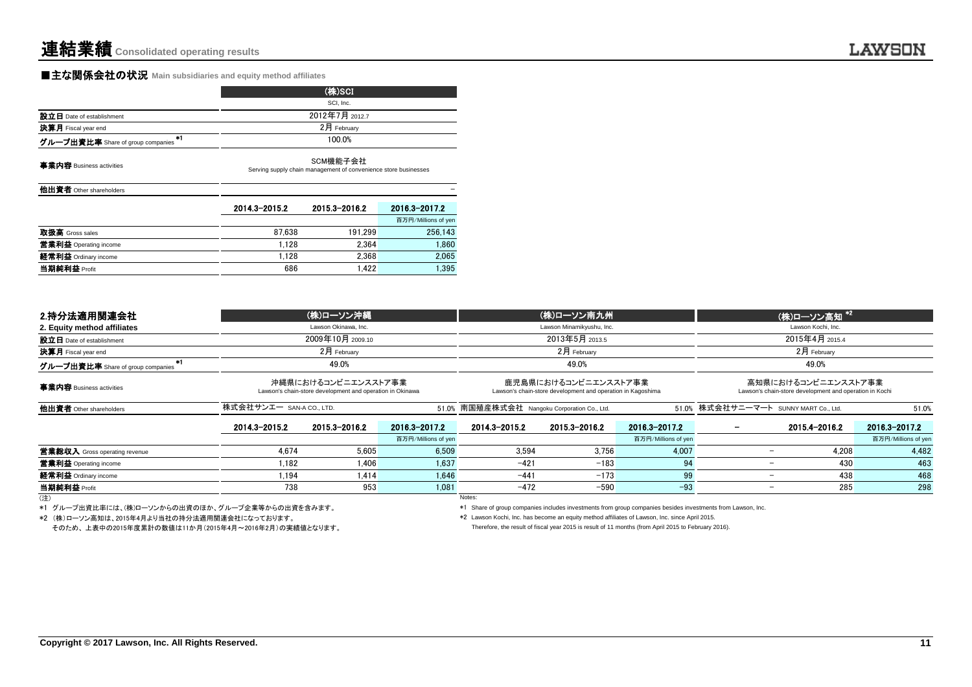## **■主な関係会社の状況** Main subsidiaries and equity method affiliates

|                                         |                                                                             | (株)SCI         |                     |  |  |  |
|-----------------------------------------|-----------------------------------------------------------------------------|----------------|---------------------|--|--|--|
|                                         |                                                                             | SCI, Inc.      |                     |  |  |  |
| 設立日 Date of establishment               |                                                                             | 2012年7月 2012.7 |                     |  |  |  |
| 決算月 Fiscal year end                     |                                                                             | 2月 February    |                     |  |  |  |
| #1<br>グループ出資比率 Share of group companies | 100.0%                                                                      |                |                     |  |  |  |
| 事業内容 Business activities                | SCM機能子会社<br>Serving supply chain management of convenience store businesses |                |                     |  |  |  |
|                                         |                                                                             |                |                     |  |  |  |
| 他出資者 Other shareholders                 |                                                                             |                |                     |  |  |  |
|                                         | 2014.3-2015.2                                                               | 2015.3-2016.2  | 2016.3-2017.2       |  |  |  |
|                                         |                                                                             |                | 百万円/Millions of yen |  |  |  |
| 取扱高 Gross sales                         | 87.638                                                                      | 191.299        | 256.143             |  |  |  |
| 営業利益 Operating income                   | 1,128                                                                       | 2.364          | 1,860               |  |  |  |
| 経常利益 Ordinary income                    | 1.128                                                                       | 2,368          | 2,065               |  |  |  |

| 2.持分法適用関連会社                       |                       | (株)ローソン沖縄                                                                        |                     |                                                                                     | (株)ローソン南九州                |                                       |                                                                                | (株)ローソン高知*2   |                     |  |
|-----------------------------------|-----------------------|----------------------------------------------------------------------------------|---------------------|-------------------------------------------------------------------------------------|---------------------------|---------------------------------------|--------------------------------------------------------------------------------|---------------|---------------------|--|
| 2. Equity method affiliates       |                       | Lawson Okinawa, Inc.                                                             |                     |                                                                                     | Lawson Minamikyushu, Inc. |                                       | Lawson Kochi, Inc.                                                             |               |                     |  |
| 設立日 Date of establishment         |                       | 2009年10月 2009.10                                                                 |                     | 2013年5月 2013.5                                                                      |                           |                                       | 2015年4月 2015.4                                                                 |               |                     |  |
| 決算月 Fiscal year end               |                       | $2$ 月 February                                                                   |                     |                                                                                     | $2月$ February             |                                       |                                                                                | $2月$ February |                     |  |
| グループ出資比率 Share of group companies |                       | 49.0%                                                                            | 49.0%               |                                                                                     |                           | 49.0%                                 |                                                                                |               |                     |  |
| 事業内容 Business activities          |                       | 沖縄県におけるコンビニエンスストア事業<br>Lawson's chain-store development and operation in Okinawa |                     | 鹿児島県におけるコンビニエンスストア事業<br>Lawson's chain-store development and operation in Kagoshima |                           |                                       | 高知県におけるコンビニエンスストア事業<br>Lawson's chain-store development and operation in Kochi |               |                     |  |
| 他出資者 Other shareholders           | 株式会社サンエー SAN-A COLTD. |                                                                                  |                     | 51.0% 南国殖産株式会社 Nangoku Corporation Co., Ltd.                                        |                           | 51.0% 株式会社サニーマート SUNNY MART Co., Ltd. |                                                                                | 51.0%         |                     |  |
|                                   | 2014.3-2015.2         | 2015.3-2016.2                                                                    | 2016.3-2017.2       | 2014.3-2015.2                                                                       | 2015.3-2016.2             | 2016.3-2017.2                         |                                                                                | 2015.4-2016.2 | 2016.3-2017.2       |  |
|                                   |                       |                                                                                  | 百万円/Millions of yen |                                                                                     |                           | 百万円/Millions of yen                   |                                                                                |               | 百万円/Millions of yen |  |
| 営業総収入 Gross operating revenue     | 4.674                 | 5.605                                                                            | 6,509               | 3,594                                                                               | 3.756                     | 4.007                                 |                                                                                | 4.208         | 4,482               |  |
| 営業利益 Operating income             | 1.182                 | 1.406                                                                            | 1.637               | $-421$                                                                              | $-183$                    | 94                                    |                                                                                | 430           | 463                 |  |
| 経常利益 Ordinary income              | 1.194                 | 1.414                                                                            | 1.646               | $-441$                                                                              | $-173$                    | 99                                    | $\overline{\phantom{0}}$                                                       | 438           | 468                 |  |
| 当期純利益 Profit                      | 738                   | 953                                                                              | 1,081               | $-472$                                                                              | $-590$                    | $-93$                                 |                                                                                | 285           | 298                 |  |
| (注)                               |                       |                                                                                  |                     | Notes:                                                                              |                           |                                       |                                                                                |               |                     |  |

\*2 (株)ローソン高知は、2015年4月より当社の持分法適用関連会社になっております。 \*2 Lawson Kochi, Inc. has become an equity method affiliates of Lawson, Inc. since April 2015.

そのため、 上表中の2015年度累計の数値は11か月(2015年4月~2016年2月)の実績値となります。

\*1 グループ出資比率には、(株)ローソンからの出資のほか、グループ企業等からの出資を含みます。 \*1 Share of group companies includes investments from group companies besides investments from Lawson, Inc.

Therefore, the result of fiscal year 2015 is result of 11 months (from April 2015 to February 2016).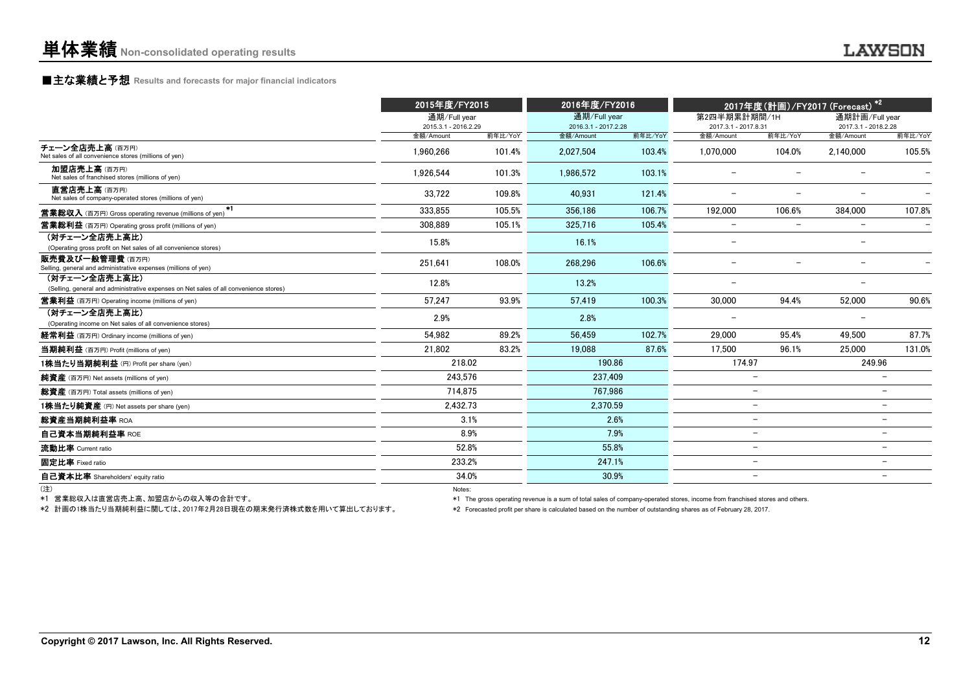#### **■主な業績と予想 Results and forecasts for major financial indicators**

|                                                                                                        | 2015年度/FY2015                     |         | 2016年度/FY2016                     |         |                                   |                          | 2017年度(計画)/FY2017 (Forecast) * <sup>2</sup> |                          |
|--------------------------------------------------------------------------------------------------------|-----------------------------------|---------|-----------------------------------|---------|-----------------------------------|--------------------------|---------------------------------------------|--------------------------|
|                                                                                                        | 通期/Full year                      |         | 通期/Full year                      |         | 第2四半期累計期間/1H                      |                          | 通期計画/Full year                              |                          |
|                                                                                                        | 2015.3.1 - 2016.2.29<br>金額/Amount | 前年比/YoY | 2016.3.1 - 2017.2.28<br>金額/Amount | 前年比/YoY | 2017.3.1 - 2017.8.31<br>金額/Amount | 前年比/YoY                  | 2017.3.1 - 2018.2.28<br>金額/Amount           | 前年比/YoY                  |
| チェーン全店売上高(百万円)<br>Net sales of all convenience stores (millions of yen)                                | 1.960.266                         | 101.4%  | 2.027.504                         | 103.4%  | 1.070.000                         | 104.0%                   | 2.140.000                                   | 105.5%                   |
| 加盟店売上高(百万円)<br>Net sales of franchised stores (millions of yen)                                        | 1.926.544                         | 101.3%  | 1.986.572                         | 103.1%  |                                   |                          |                                             |                          |
| 直営店売上高(百万円)<br>Net sales of company-operated stores (millions of yen)                                  | 33.722                            | 109.8%  | 40.931                            | 121.4%  |                                   |                          |                                             |                          |
| $*1$<br><b>営業総収入</b> (百万円) Gross operating revenue (millions of yen)                                   | 333.855                           | 105.5%  | 356.186                           | 106.7%  | 192.000                           | 106.6%                   | 384.000                                     | 107.8%                   |
| <b>営業総利益</b> (百万円) Operating gross profit (millions of yen)                                            | 308.889                           | 105.1%  | 325.716                           | 105.4%  | $\overline{\phantom{0}}$          | $\overline{\phantom{a}}$ | $\overline{\phantom{m}}$                    |                          |
| (対チェーン全店売上高比)<br>(Operating gross profit on Net sales of all convenience stores)                       | 15.8%                             |         | 16.1%                             |         | $\overline{\phantom{m}}$          |                          | $\overline{\phantom{0}}$                    |                          |
| 販売費及び一般管理費(百万円)<br>Selling, general and administrative expenses (millions of yen)                      | 251.641                           | 108.0%  | 268.296                           | 106.6%  | $\overline{a}$                    |                          |                                             |                          |
| (対チェーン全店売上高比)<br>(Selling, general and administrative expenses on Net sales of all convenience stores) | 12.8%                             |         | 13.2%                             |         | $\qquad \qquad -$                 |                          | $\overline{\phantom{0}}$                    |                          |
| <b>営業利益</b> (百万円) Operating income (millions of yen)                                                   | 57.247                            | 93.9%   | 57.419                            | 100.3%  | 30,000                            | 94.4%                    | 52,000                                      | 90.6%                    |
| (対チェーン全店売上高比)<br>(Operating income on Net sales of all convenience stores)                             | 2.9%                              |         | 2.8%                              |         |                                   |                          |                                             |                          |
| 経常利益 (百万円) Ordinary income (millions of yen)                                                           | 54.982                            | 89.2%   | 56.459                            | 102.7%  | 29,000                            | 95.4%                    | 49.500                                      | 87.7%                    |
| 当期純利益 (百万円) Profit (millions of yen)                                                                   | 21.802                            | 83.2%   | 19.088                            | 87.6%   | 17.500                            | 96.1%                    | 25,000                                      | 131.0%                   |
| 1株当たり当期純利益 (円) Profit per share (yen)                                                                  | 218.02                            |         | 190.86                            |         | 174.97                            |                          | 249.96                                      |                          |
| 純資産 (百万円) Net assets (millions of yen)                                                                 | 243,576                           |         | 237,409                           |         |                                   | $\overline{\phantom{0}}$ |                                             |                          |
| 総資産 (百万円) Total assets (millions of yen)                                                               | 714.875                           |         | 767.986                           |         |                                   | $\overline{\phantom{0}}$ |                                             |                          |
| 1株当たり純資産 (円) Net assets per share (yen)                                                                | 2.432.73                          |         | 2.370.59                          |         |                                   | $\overline{\phantom{m}}$ |                                             | $\overline{\phantom{0}}$ |
| 総資産当期純利益率 ROA                                                                                          |                                   | 3.1%    |                                   | 2.6%    |                                   | $\overline{\phantom{m}}$ |                                             |                          |
| 自己資本当期純利益率 ROE                                                                                         |                                   | 8.9%    |                                   | 7.9%    |                                   | $\overline{\phantom{m}}$ |                                             |                          |
| 流動比率 Current ratio                                                                                     |                                   | 52.8%   | 55.8%                             |         |                                   | $\overline{\phantom{m}}$ |                                             | $\overline{\phantom{0}}$ |
| 固定比率 Fixed ratio                                                                                       | 233.2%                            |         | 247.1%                            |         |                                   | $\overline{\phantom{m}}$ |                                             |                          |
| 自己資本比率 Shareholders' equity ratio                                                                      |                                   | 34.0%   | 30.9%                             |         |                                   | $\overline{\phantom{m}}$ |                                             |                          |
| (注)                                                                                                    | Notes:                            |         |                                   |         |                                   |                          |                                             |                          |

\*1 営業総収入は直営店売上高、加盟店からの収入等の合計です。

\*2 計画の1株当たり当期純利益に関しては、2017年2月28日現在の期末発行済株式数を用いて算出しております。

\*1 The gross operating revenue is a sum of total sales of company-operated stores, income from franchised stores and others.

\*2 Forecasted profit per share is calculated based on the number of outstanding shares as of February 28, 2017.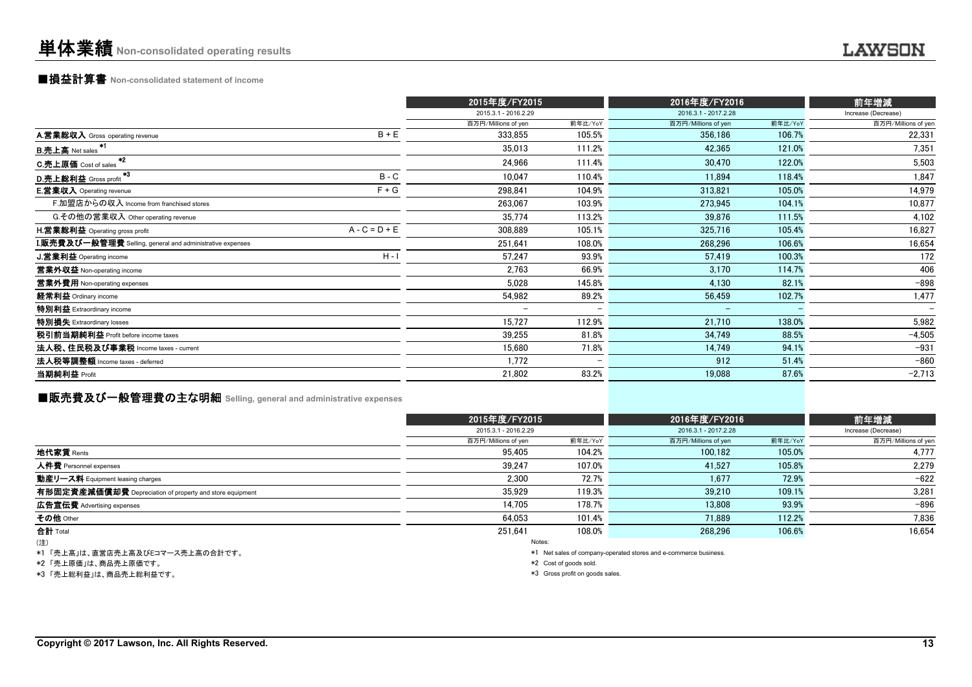#### ■損益計算書 **Non-consolidated statement of income**

|                                                                  |                 | 2015年度/FY2015            |                          | 2016年度/FY2016            |         | 前年増減                     |
|------------------------------------------------------------------|-----------------|--------------------------|--------------------------|--------------------------|---------|--------------------------|
|                                                                  |                 | 2015.3.1 - 2016.2.29     |                          | 2016.3.1 - 2017.2.28     |         | Increase (Decrease)      |
|                                                                  |                 | 百万円/Millions of yen      | 前年比/YoY                  | 百万円/Millions of yen      | 前年比/YoY | 百万円/Millions of yen      |
| A.営業総収入 Gross operating revenue                                  | $B + E$         | 333,855                  | 105.5%                   | 356,186                  | 106.7%  | 22,331                   |
| B.売上高 Net sales <sup>*1</sup>                                    |                 | 35,013                   | 111.2%                   | 42,365                   | 121.0%  | 7,351                    |
| $*2$<br><b>C.売上原価</b> Cost of sales                              |                 | 24,966                   | 111.4%                   | 30,470                   | 122.0%  | 5,503                    |
| *3<br>D.売上総利益 Gross profit                                       | $B - C$         | 10.047                   | 110.4%                   | 11,894                   | 118.4%  | 1,847                    |
| <b>E.営業収入</b> Operating revenue                                  | $F + G$         | 298,841                  | 104.9%                   | 313,821                  | 105.0%  | 14,979                   |
| F.加盟店からの収入 Income from franchised stores                         |                 | 263.067                  | 103.9%                   | 273,945                  | 104.1%  | 10,877                   |
| G.その他の営業収入 Other operating revenue                               |                 | 35,774                   | 113.2%                   | 39,876                   | 111.5%  | 4,102                    |
| H.営業総利益 Operating gross profit                                   | $A - C = D + E$ | 308,889                  | 105.1%                   | 325,716                  | 105.4%  | 16,827                   |
| <b>I.販売費及び一般管理費</b> Selling, general and administrative expenses |                 | 251,641                  | 108.0%                   | 268,296                  | 106.6%  | 16,654                   |
| J.営業利益 Operating income                                          | $H - I$         | 57,247                   | 93.9%                    | 57,419                   | 100.3%  | 172                      |
| 営業外収益 Non-operating income                                       |                 | 2,763                    | 66.9%                    | 3,170                    | 114.7%  | 406                      |
| 営業外費用 Non-operating expenses                                     |                 | 5,028                    | 145.8%                   | 4,130                    | 82.1%   | $-898$                   |
| 経常利益 Ordinary income                                             |                 | 54,982                   | 89.2%                    | 56,459                   | 102.7%  | 1,477                    |
| 特別利益 Extraordinary income                                        |                 | $\overline{\phantom{0}}$ |                          | $\overline{\phantom{0}}$ |         | $\overline{\phantom{0}}$ |
| 特別損失 Extraordinary losses                                        |                 | 15,727                   | 112.9%                   | 21,710                   | 138.0%  | 5,982                    |
| 税引前当期純利益 Profit before income taxes                              |                 | 39,255                   | 81.8%                    | 34,749                   | 88.5%   | $-4,505$                 |
| 法人税、住民税及び事業税 Income taxes - current                              |                 | 15.680                   | 71.8%                    | 14,749                   | 94.1%   | $-931$                   |
| 法人税等調整額 Income taxes - deferred                                  |                 | 1,772                    | $\overline{\phantom{0}}$ | 912                      | 51.4%   | $-860$                   |
| 当期純利益 Profit                                                     |                 | 21,802                   | 83.2%                    | 19,088                   | 87.6%   | $-2,713$                 |

## ■販売費及び一般管理費の主な明細 **Selling, general and administrative expenses**

|                                                          |                      | 2015年度/FY2015 |                      | 2016年度/FY2016       |                     |  |
|----------------------------------------------------------|----------------------|---------------|----------------------|---------------------|---------------------|--|
|                                                          | 2015.3.1 - 2016.2.29 |               | 2016.3.1 - 2017.2.28 | Increase (Decrease) |                     |  |
|                                                          | 百万円/Millions of yen  | 前年比/YoY       | 百万円/Millions of yen  | 前年比/YoY             | 百万円/Millions of yen |  |
| <b>地代家賃</b> Rents                                        | 95,405               | 104.2%        | 100,182              | 105.0%              | 4,777               |  |
| 人件費 Personnel expenses                                   | 39.247               | 107.0%        | 41.527               | 105.8%              | 2.279               |  |
| 動産リース料 Equipment leasing charges                         | 2,300                | 72.7%         | 1,677                | 72.9%               | $-622$              |  |
| 有形固定資産減価償却費 Depreciation of property and store equipment | 35.929               | 119.3%        | 39.210               | 109.1%              | 3,281               |  |
| <b>広告宣伝費</b> Advertising expenses                        | 14,705               | 178.7%        | 13,808               | 93.9%               | $-896$              |  |
| その他 Other                                                | 64.053               | 101.4%        | 71.889               | 112.2%              | 7.836               |  |
| 合計 Total                                                 | 251.641              | 108.0%        | 268.296              | 106.6%              | 16,654              |  |
| (注)                                                      |                      | Notes:        |                      |                     |                     |  |
| .                                                        |                      |               |                      |                     |                     |  |

\*1 「売上高」は、直営店売上高及びEコマース売上高の合計です。

\*2 「売上原価」は、商品売上原価です。

\*3 「売上総利益」は、商品売上総利益です。

\*1 Net sales of company-operated stores and e-commerce business.

\*2 Cost of goods sold.

\*3 Gross profit on goods sales.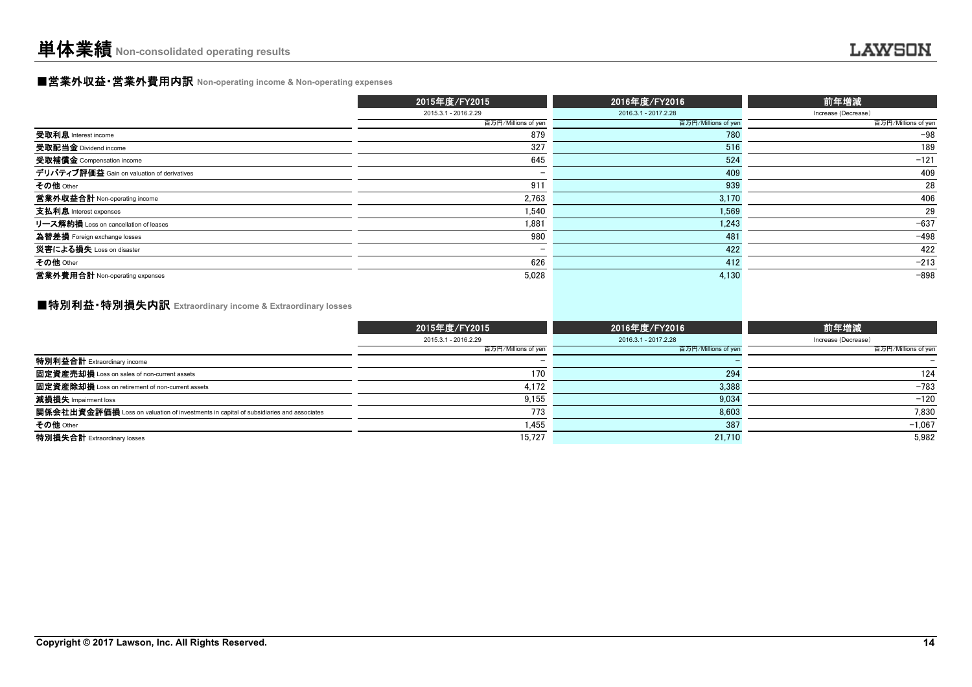## ■営業外収益・営業外費用内訳 **Non-operating income & Non-operating expenses**

|                                            | 2015年度/FY2015            | 2016年度/FY2016        | 前年増減                |
|--------------------------------------------|--------------------------|----------------------|---------------------|
|                                            | 2015.3.1 - 2016.2.29     | 2016.3.1 - 2017.2.28 | Increase (Decrease) |
|                                            | 百万円/Millions of yen      | 百万円/Millions of yen  | 百万円/Millions of yen |
| 受取利息 Interest income                       | 879                      | 780                  | $-98$               |
| 受取配当金 Dividend income                      | 327                      | 516                  | 189                 |
| 受取補償金 Compensation income                  | 645                      | 524                  | $-121$              |
| デリバティブ評価益 Gain on valuation of derivatives | $\overline{\phantom{0}}$ | 409                  | 409                 |
| その他 Other                                  | 911                      | 939                  | 28                  |
| 営業外収益合計 Non-operating income               | 2,763                    | 3,170                | 406                 |
| 支払利息 Interest expenses                     | 1.540                    | 1.569                | 29                  |
| リース解約損 Loss on cancellation of leases      | 1.881                    | 1.243                | $-637$              |
| 為替差損 Foreign exchange losses               | 980                      | 481                  | $-498$              |
| 災害による損失 Loss on disaster                   | $\overline{\phantom{0}}$ | 422                  | 422                 |
| その他 Other                                  | 626                      | 412                  | $-213$              |
| 営業外費用合計 Non-operating expenses             | 5.028                    | 4.130                | $-898$              |

### ■特別利益・特別損失内訳 **Extraordinary income & Extraordinary losses**

|                                                                                       | 2015年度/FY2015        | 2016年度/FY2016        | 前年増減                |
|---------------------------------------------------------------------------------------|----------------------|----------------------|---------------------|
|                                                                                       | 2015.3.1 - 2016.2.29 | 2016.3.1 - 2017.2.28 | Increase (Decrease) |
|                                                                                       | 百万円/Millions of yen  | 百万円/Millions of yen  | 百万円/Millions of yen |
| 特別利益合計 Extraordinary income                                                           |                      |                      |                     |
| 固定資産売却損 Loss on sales of non-current assets                                           | 170                  | 294                  | 124                 |
| 固定資産除却損 Loss on retirement of non-current assets                                      | 4,172                | 3,388                | $-783$              |
| 減損損失 Impairment loss                                                                  | 9,155                | 9,034                | $-120$              |
| 関係会社出資金評価損 Loss on valuation of investments in capital of subsidiaries and associates | 773                  | 8,603                | 7.830               |
| その他 Other                                                                             | 1.455                | 387                  | $-1.067$            |
| 特別損失合計 Extraordinary losses                                                           | 15.727               | 21.710               | 5.982               |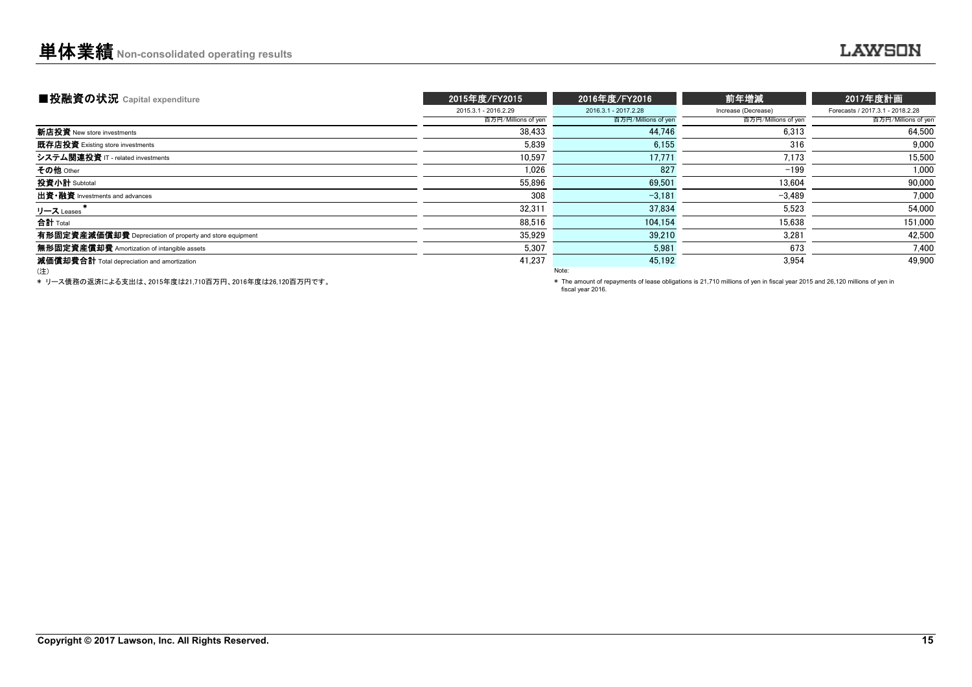| ■投融資の状況 Capital expenditure                              | 2015年度/FY2015        | 2016年度/FY2016        | 前年増減                | 2017年度計画                         |
|----------------------------------------------------------|----------------------|----------------------|---------------------|----------------------------------|
|                                                          | 2015.3.1 - 2016.2.29 | 2016.3.1 - 2017.2.28 | Increase (Decrease) | Forecasts / 2017.3.1 - 2018.2.28 |
|                                                          | 百万円/Millions of yen  | 百万円/Millions of yen  | 百万円/Millions of yen | 百万円/Millions of yen              |
| 新店投資 New store investments                               | 38.433               | 44.746               | 6.313               | 64,500                           |
| 既存店投資 Existing store investments                         | 5.839                | 6.155                | 316                 | 9.000                            |
| システム関連投資 IT - related investments                        | 10.597               | 17.771               | 7,173               | 15.500                           |
| その他 Other                                                | 1.026                | 827                  | $-199$              | 1,000                            |
| 投資小計 Subtotal                                            | 55,896               | 69,501               | 13,604              | 90,000                           |
| 出資·融資 Investments and advances                           | 308                  | $-3.181$             | $-3.489$            | 7,000                            |
| リース Leases                                               | 32,311               | 37.834               | 5,523               | 54,000                           |
| 合計 Total                                                 | 88,516               | 104.154              | 15,638              | 151,000                          |
| 有形固定資産減価償却費 Depreciation of property and store equipment | 35.929               | 39,210               | 3.281               | 42.500                           |
| 無形固定資産償却費 Amortization of intangible assets              | 5,307                | 5,981                | 673                 | 7,400                            |
| 減価償却費合計 Total depreciation and amortization              | 41,237               | 45,192               | 3,954               | 49,900                           |
| (注)                                                      |                      | Note:                |                     |                                  |

\* リース債務の返済による支出は、2015年度は21,710百万円、2016年度は26,120百万円です。

 \* The amount of repayments of lease obligations is 21,710 millions of yen in fiscal year 2015 and 26,120 millions of yen in fiscal year 2016.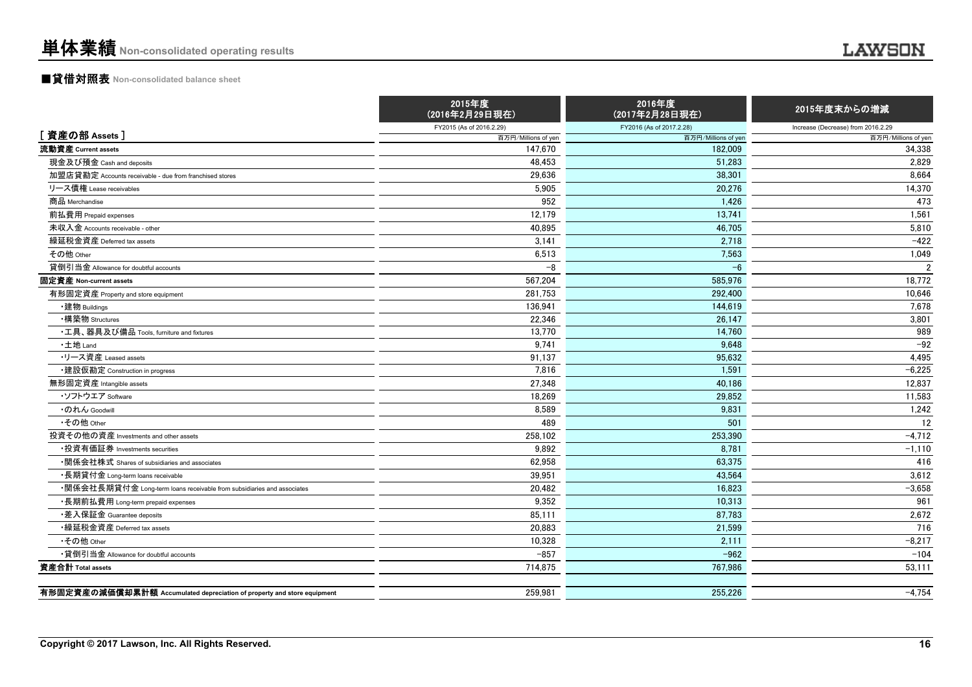## ■貸借対照表 **Non-consolidated balance sheet**

|                                                                         | 2015年度<br>(2016年2月29日現在) | 2016年度<br>(2017年2月28日現在) | 2015年度末からの増減                       |
|-------------------------------------------------------------------------|--------------------------|--------------------------|------------------------------------|
|                                                                         | FY2015 (As of 2016.2.29) | FY2016 (As of 2017.2.28) | Increase (Decrease) from 2016.2.29 |
| [資産の部 Assets]                                                           | 百万円/Millions of yen      | 百万円/Millions of yen      | 百万円/Millions of yen                |
| 流動資産 Current assets                                                     | 147,670                  | 182,009                  | 34,338                             |
| 現金及び預金 Cash and deposits                                                | 48,453                   | 51,283                   | 2.829                              |
| 加盟店貸勘定 Accounts receivable - due from franchised stores                 | 29,636                   | 38,301                   | 8.664                              |
| リース債権 Lease receivables                                                 | 5,905                    | 20,276                   | 14,370                             |
| 商品 Merchandise                                                          | 952                      | 1,426                    | 473                                |
| 前払費用 Prepaid expenses                                                   | 12,179                   | 13,741                   | 1,561                              |
| 未収入金 Accounts receivable - other                                        | 40.895                   | 46.705                   | 5,810                              |
| 繰延税金資産 Deferred tax assets                                              | 3.141                    | 2.718                    | $-422$                             |
| その他 Other                                                               | 6,513                    | 7.563                    | 1,049                              |
| 貸倒引当金 Allowance for doubtful accounts                                   | $-8$                     | $-6$                     | $\mathfrak{p}$                     |
| 固定資産 Non-current assets                                                 | 567,204                  | 585,976                  | 18,772                             |
| 有形固定資産 Property and store equipment                                     | 281.753                  | 292.400                  | 10,646                             |
| ・建物 Buildings                                                           | 136.941                  | 144,619                  | 7,678                              |
| •構築物 Structures                                                         | 22,346                   | 26.147                   | 3.801                              |
| •工具、器具及び備品 Tools, furniture and fixtures                                | 13,770                   | 14,760                   | 989                                |
| ・土地 Land                                                                | 9,741                    | 9,648                    | $-92$                              |
| ・リース資産 Leased assets                                                    | 91,137                   | 95,632                   | 4,495                              |
| ・建設仮勘定 Construction in progress                                         | 7,816                    | 1,591                    | $-6,225$                           |
| 無形固定資産 Intangible assets                                                | 27,348                   | 40.186                   | 12.837                             |
| ・ソフトウエア Software                                                        | 18,269                   | 29,852                   | 11,583                             |
| ・のれん Goodwill                                                           | 8,589                    | 9,831                    | 1,242                              |
| •その他 Other                                                              | 489                      | 501                      | 12                                 |
| 投資その他の資産 Investments and other assets                                   | 258,102                  | 253,390                  | $-4,712$                           |
| ・投資有価証券 Investments securities                                          | 9.892                    | 8.781                    | $-1,110$                           |
| •関係会社株式 Shares of subsidiaries and associates                           | 62,958                   | 63,375                   | 416                                |
| •長期貸付金 Long-term loans receivable                                       | 39,951                   | 43,564                   | 3,612                              |
| •関係会社長期貸付金 Long-term loans receivable from subsidiaries and associates  | 20,482                   | 16,823                   | $-3,658$                           |
| •長期前払費用 Long-term prepaid expenses                                      | 9,352                    | 10,313                   | 961                                |
| •差入保証金 Guarantee deposits                                               | 85,111                   | 87,783                   | 2,672                              |
| •繰延税金資産 Deferred tax assets                                             | 20,883                   | 21,599                   | 716                                |
| •その他 Other                                                              | 10.328                   | 2,111                    | $-8,217$                           |
| •貸倒引当金 Allowance for doubtful accounts                                  | $-857$                   | $-962$                   | $-104$                             |
| 資産合計 Total assets                                                       | 714,875                  | 767,986                  | 53,111                             |
| 有形固定資産の減価償却累計額 Accumulated depreciation of property and store equipment | 259.981                  | 255.226                  | $-4.754$                           |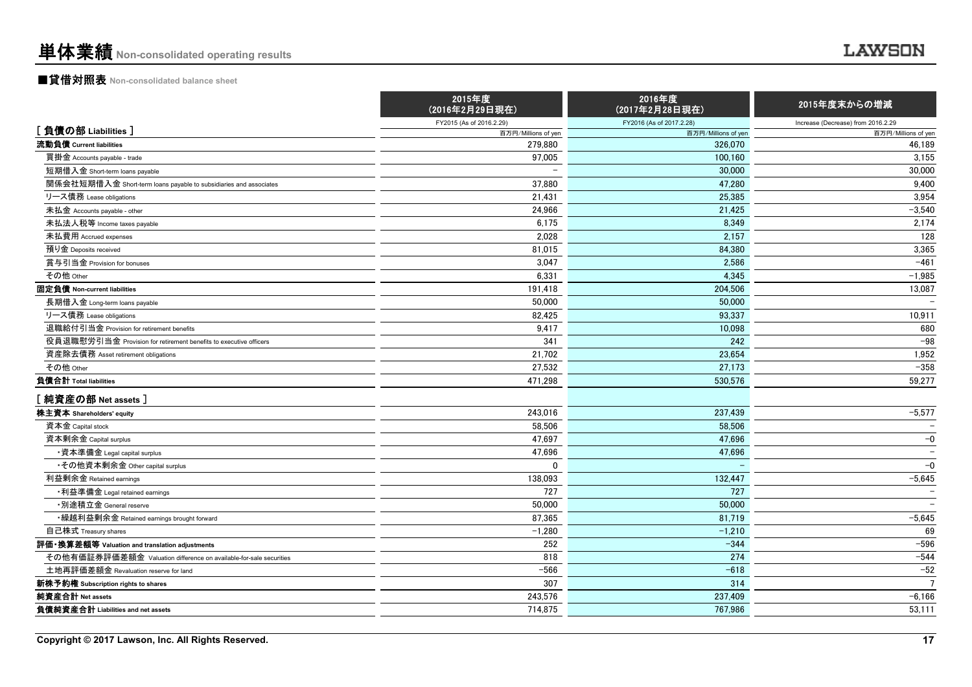#### ■貸借対照表 **Non-consolidated balance sheet**

|                                                                    | 2015年度<br>(2016年2月29日現在) | 2016年度<br>(2017年2月28日現在) | 2015年度末からの増減                       |
|--------------------------------------------------------------------|--------------------------|--------------------------|------------------------------------|
|                                                                    | FY2015 (As of 2016.2.29) | FY2016 (As of 2017.2.28) | Increase (Decrease) from 2016.2.29 |
| [負債の部 Liabilities]                                                 | 百万円/Millions of yen      | 百万円/Millions of yer      | 百万円/Millions of yen                |
| 流動負債 Current liabilities                                           | 279.880                  | 326,070                  | 46,189                             |
| 買掛金 Accounts payable - trade                                       | 97,005                   | 100,160                  | 3,155                              |
| 短期借入金 Short-term loans payable                                     | $\overline{\phantom{a}}$ | 30,000                   | 30,000                             |
| 関係会社短期借入金 Short-term loans payable to subsidiaries and associates  | 37,880                   | 47.280                   | 9,400                              |
| リース債務 Lease obligations                                            | 21.431                   | 25.385                   | 3,954                              |
| 未払金 Accounts payable - other                                       | 24,966                   | 21,425                   | $-3,540$                           |
| 未払法人税等 Income taxes payable                                        | 6.175                    | 8.349                    | 2,174                              |
| 未払費用 Accrued expenses                                              | 2,028                    | 2,157                    | 128                                |
| 預り金 Deposits received                                              | 81,015                   | 84,380                   | 3,365                              |
| 賞与引当金 Provision for bonuses                                        | 3,047                    | 2.586                    | $-461$                             |
| その他 Other                                                          | 6,331                    | 4,345                    | $-1,985$                           |
| 固定負債 Non-current liabilities                                       | 191,418                  | 204,506                  | 13,087                             |
| 長期借入金 Long-term loans payable                                      | 50,000                   | 50,000                   |                                    |
| リース債務 Lease obligations                                            | 82,425                   | 93,337                   | 10,911                             |
| 退職給付引当金 Provision for retirement benefits                          | 9,417                    | 10,098                   | 680                                |
| 役員退職慰労引当金 Provision for retirement benefits to executive officers  | 341                      | 242                      | $-98$                              |
| 資産除去債務 Asset retirement obligations                                | 21,702                   | 23.654                   | 1,952                              |
| その他 Other                                                          | 27.532                   | 27,173                   | $-358$                             |
| 負債合計 Total liabilities                                             | 471.298                  | 530.576                  | 59,277                             |
| [純資産の部 Net assets]                                                 |                          |                          |                                    |
| 株主資本 Shareholders' equity                                          | 243,016                  | 237,439                  | $-5,577$                           |
| 資本金 Capital stock                                                  | 58.506                   | 58.506                   |                                    |
| 資本剰余金 Capital surplus                                              | 47.697                   | 47,696                   | $-0$                               |
| ・資本準備金 Legal capital surplus                                       | 47,696                   | 47,696                   |                                    |
| ・その他資本剰余金 Other capital surplus                                    | 0                        |                          | $-0$                               |
| 利益剰余金 Retained earnings                                            | 138,093                  | 132,447                  | $-5,645$                           |
| •利益準備金 Legal retained earnings                                     | 727                      | 727                      |                                    |
| ・別途積立金 General reserve                                             | 50,000                   | 50,000                   |                                    |
| • 繰越利益剰余金 Retained earnings brought forward                        | 87,365                   | 81,719                   | $-5,645$                           |
| 自己株式 Treasury shares                                               | $-1,280$                 | $-1,210$                 | 69                                 |
| 評価・換算差額等 Valuation and translation adjustments                     | 252                      | $-344$                   | $-596$                             |
| その他有価証券評価差額金 Valuation difference on available-for-sale securities | 818                      | 274                      | $-544$                             |
| 土地再評価差額金 Revaluation reserve for land                              | $-566$                   | $-618$                   | $-52$                              |
| 新株予約権 Subscription rights to shares                                | 307                      | 314                      | $\overline{7}$                     |
| 純資産合計 Net assets                                                   | 243,576                  | 237.409                  | $-6,166$                           |
| 負債純資産合計 Liabilities and net assets                                 | 714.875                  | 767.986                  | 53.111                             |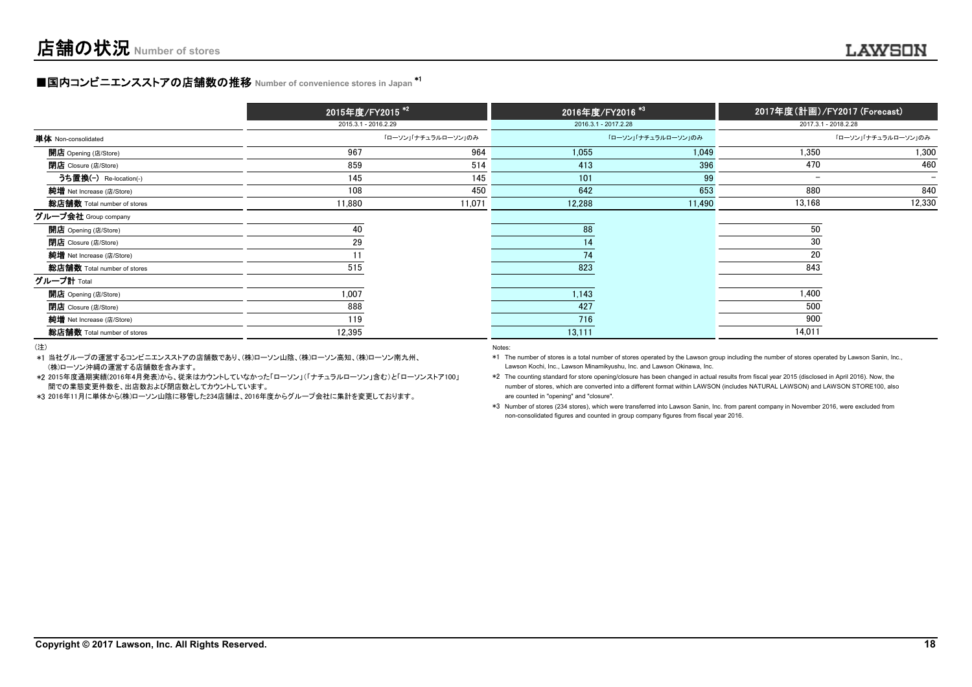#### ■国内コンビニエンスストアの店舗数の推移 Number of convenience stores in Japan \*<sup>1</sup>

|                             | 2015年度/FY2015 <sup>*2</sup> |                     | 2016年度/FY2016 <sup>*3</sup> |                     | 2017年度(計画)/FY2017 (Forecast) |                          |
|-----------------------------|-----------------------------|---------------------|-----------------------------|---------------------|------------------------------|--------------------------|
|                             | 2015.3.1 - 2016.2.29        |                     | 2016.3.1 - 2017.2.28        |                     | 2017.3.1 - 2018.2.28         |                          |
| 単体 Non-consolidated         |                             | 「ローソン」「ナチュラルローソン」のみ |                             | 「ローソン」「ナチュラルローソン」のみ |                              | 「ローソン」「ナチュラルローソン」のみ      |
| <b>開店</b> Opening (店/Store) | 967                         | 964                 | 1,055                       | 1,049               | 1,350                        | 1,300                    |
| <b>閉店</b> Closure (店/Store) | 859                         | 514                 | 413                         | 396                 | 470                          | 460                      |
| うち置換(-) Re-location(-)      | 145                         | 145                 | 101                         | 99                  | $\overline{\phantom{0}}$     | $\overline{\phantom{0}}$ |
| 純増 Net Increase (店/Store)   | 108                         | 450                 | 642                         | 653                 | 880                          | 840                      |
| 総店舗数 Total number of stores | 11,880                      | 11,071              | 12,288                      | 11,490              | 13,168                       | 12,330                   |
| グループ会社 Group company        |                             |                     |                             |                     |                              |                          |
| <b>開店</b> Opening (店/Store) | 40                          |                     | 88                          |                     | 50                           |                          |
| <b>閉店</b> Closure (店/Store) | 29                          |                     | 14                          |                     | 30                           |                          |
| 純增 Net Increase (店/Store)   |                             |                     | 74                          |                     | 20                           |                          |
| 総店舗数 Total number of stores | 515                         |                     | 823                         |                     | 843                          |                          |
| グループ計 Total                 |                             |                     |                             |                     |                              |                          |
| <b>開店</b> Opening (店/Store) | 1,007                       |                     | 1,143                       |                     | 1,400                        |                          |
| <b>閉店</b> Closure (店/Store) | 888                         |                     | 427                         |                     | 500                          |                          |
| 純增 Net Increase (店/Store)   | 119                         |                     | 716                         |                     | 900                          |                          |
| 総店舗数 Total number of stores | 12,395                      |                     | 13,111                      |                     | 14,011                       |                          |

(注)

- \*1当社グループの運営するコンビニエンスストアの店舗数であり、(株)ローソン山陰、(株)ローソン高知、(株)ローソン南九州、(株)ローソン沖縄の運営する店舗数を含みます。 Lawson Kochi, Inc., Lawson Minamikyushu, Inc. and Lawson Okinawa, Inc.
- \*2 2015年度通期実績(2016年4月発表)から、従来はカウントしていなかった「ローソン」(「ナチュラルローソン」含む)と「ローソンストア100」 \*2 The counting standard for store opening/closure has been changed in actual results from fiscal year 2015 (disclosed in April 2016). Now, the mumber of stores, which are converted into a different format within LAWSON (includes NATURAL LAWSON) and LAWSON STORE100, also and Decision and Decision and Decision and Decision and Decision and Decision and Decision
- \*3 2016年11月に単体から(株)ローソン山陰に移管した234店舗は、2016年度からグループ会社に集計を変更しております。 are counted in "opening" and "closure".

#### Notes:

\*3 Number of stores (234 stores), which were transferred into Lawson Sanin, Inc. from parent company in November 2016, were excluded from non-consolidated figures and counted in group company figures from fiscal year 2016.

\*1 The number of stores is a total number of stores operated by the Lawson group including the number of stores operated by Lawson Sanin, Inc.,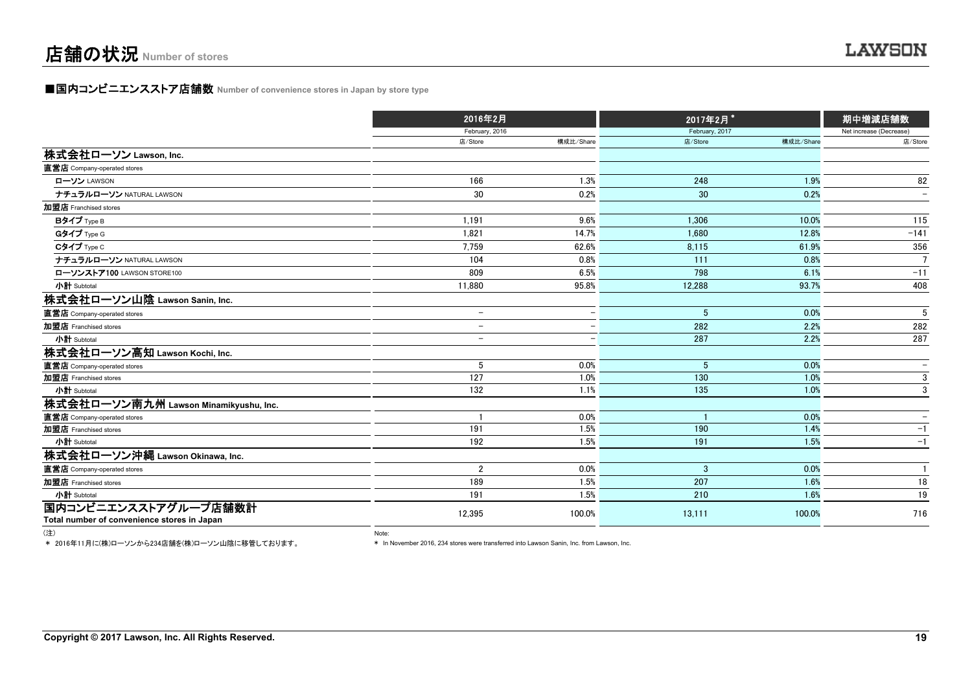#### **■国内コンビニエンスストア店舗数 Number of convenience stores in Japan by store type**

|                                                                     | 2016年2月                  |                          | 2017年2月*       |           | 期中増減店舗数<br>Net increase (Decrease) |  |
|---------------------------------------------------------------------|--------------------------|--------------------------|----------------|-----------|------------------------------------|--|
|                                                                     | February, 2016           |                          | February, 2017 |           |                                    |  |
|                                                                     | 店/Store                  | 構成比/Share                | 店/Store        | 構成比/Share | 店/Store                            |  |
| 株式会社ローソン Lawson, Inc.                                               |                          |                          |                |           |                                    |  |
| 直営店 Company-operated stores                                         |                          |                          |                |           |                                    |  |
| ローソン LAWSON                                                         | 166                      | 1.3%                     | 248            | 1.9%      | 82                                 |  |
| ナチュラルローソン NATURAL LAWSON                                            | 30                       | 0.2%                     | 30             | 0.2%      | $\overline{\phantom{a}}$           |  |
| 加盟店 Franchised stores                                               |                          |                          |                |           |                                    |  |
| Bタイプ Type B                                                         | 1.191                    | 9.6%                     | 1.306          | 10.0%     | 115                                |  |
| Gタイプ Type G                                                         | 1,821                    | 14.7%                    | 1.680          | 12.8%     | $-141$                             |  |
| Cタイプ Type C                                                         | 7.759                    | 62.6%                    | 8,115          | 61.9%     | 356                                |  |
| ナチュラルローソン NATURAL LAWSON                                            | 104                      | 0.8%                     | 111            | 0.8%      | $\overline{7}$                     |  |
| ローソンストア100 LAWSON STORE100                                          | 809                      | 6.5%                     | 798            | 6.1%      | $-11$                              |  |
| 小計 Subtotal                                                         | 11.880                   | 95.8%                    | 12,288         | 93.7%     | 408                                |  |
| 株式会社ローソン山陰 Lawson Sanin, Inc.                                       |                          |                          |                |           |                                    |  |
| 直営店 Company-operated stores                                         | $\overline{\phantom{0}}$ | $\overline{\phantom{0}}$ | 5              | 0.0%      | 5                                  |  |
| 加盟店 Franchised stores                                               | $\overline{\phantom{0}}$ | $\overline{\phantom{0}}$ | 282            | 2.2%      | 282                                |  |
| 小計 Subtotal                                                         | $\overline{\phantom{0}}$ |                          | 287            | 2.2%      | 287                                |  |
| 株式会社ローソン高知 Lawson Kochi, Inc.                                       |                          |                          |                |           |                                    |  |
| 直営店 Company-operated stores                                         | 5                        | 0.0%                     | 5              | 0.0%      |                                    |  |
| 加盟店 Franchised stores                                               | 127                      | 1.0%                     | 130            | 1.0%      | 3                                  |  |
| 小計 Subtotal                                                         | 132                      | 1.1%                     | 135            | 1.0%      | 3                                  |  |
| 株式会社ローソン南九州 Lawson Minamikyushu, Inc.                               |                          |                          |                |           |                                    |  |
| 直営店 Company-operated stores                                         |                          | 0.0%                     |                | 0.0%      | $\hspace{0.1mm}-\hspace{0.1mm}$    |  |
| 加盟店 Franchised stores                                               | 191                      | 1.5%                     | 190            | 1.4%      | $-1$                               |  |
| 小計 Subtotal                                                         | 192                      | 1.5%                     | 191            | 1.5%      | $-1$                               |  |
| 株式会社ローソン沖縄 Lawson Okinawa, Inc.                                     |                          |                          |                |           |                                    |  |
| 直営店 Company-operated stores                                         | $\overline{2}$           | 0.0%                     | 3              | 0.0%      | $\overline{1}$                     |  |
| 加盟店 Franchised stores                                               | 189                      | 1.5%                     | 207            | 1.6%      | 18                                 |  |
| 小計 Subtotal                                                         | 191                      | 1.5%                     | 210            | 1.6%      | 19                                 |  |
| 国内コンビニエンスストアグループ店舗数計<br>Total number of convenience stores in Japan | 12,395                   | 100.0%                   | 13,111         | 100.0%    | 716                                |  |

(注) Note:

\* 2016年11月に(株)ローソンから234店舗を(株)ローソン山陰に移管しております。

\* In November 2016, 234 stores were transferred into Lawson Sanin, Inc. from Lawson, Inc.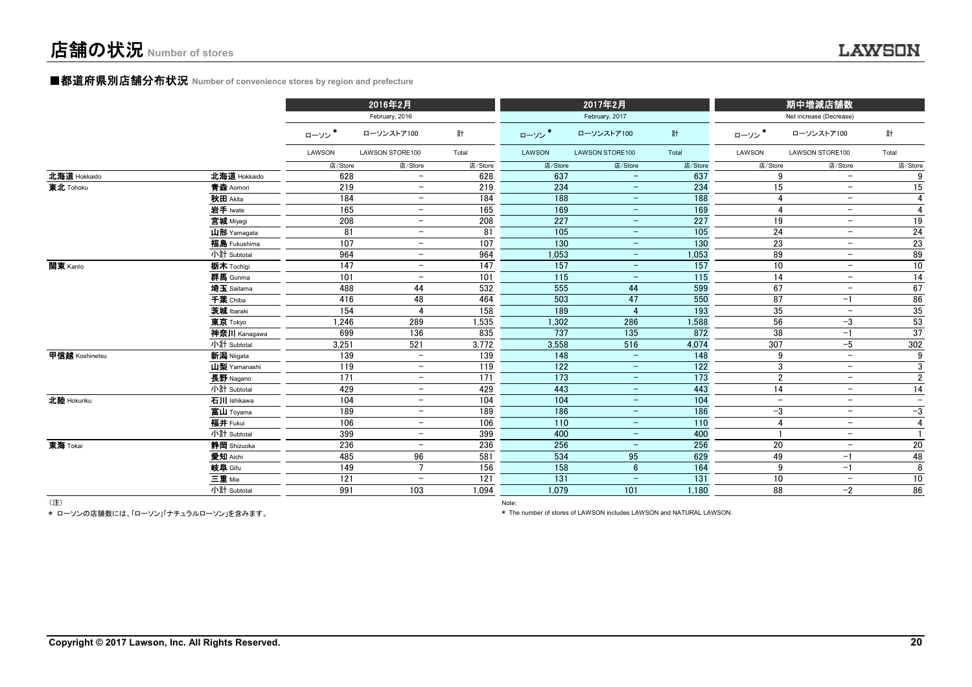## ■都道府県別店舗分布状況 **Number of convenience stores by region and prefecture**

|                |              |         | 2016年2月                  |         |                   | 2017年2月                  |                   |                          | 期中増減店舗数                  |                          |
|----------------|--------------|---------|--------------------------|---------|-------------------|--------------------------|-------------------|--------------------------|--------------------------|--------------------------|
|                |              |         | February, 2016           |         |                   | February, 2017           |                   |                          | Net increase (Decrease)  |                          |
|                |              | ローソン    | ローソンストア100               | 計       | ローソン              | ローソンストア100               | 計                 | ローソン*                    | ローソンストア100               | 計                        |
|                |              | LAWSON  | LAWSON STORE100          | Total   | LAWSON            | LAWSON STORE100          | Total             | LAWSON                   | LAWSON STORE100          | Total                    |
|                |              | 店/Store | 店/Store                  | 店/Store | 店/Store           | 店/Store                  | 店/Store           | 店/Store                  | 店/Store                  | 店/Store                  |
| 北海道 Hokkaido   | 北海道 Hokkaido | 628     | $\overline{\phantom{m}}$ | 628     | 637               | $\overline{\phantom{m}}$ | 637               | 9                        | $\overline{\phantom{a}}$ | 9                        |
| 東北 Tohoku      | 青森 Aomori    | 219     | $ \,$                    | 219     | 234               | $-$                      | 234               | 15                       | $\overline{\phantom{m}}$ | 15                       |
|                | 秋田 Akita     | 184     | $\equiv$                 | 184     | 188               | $\equiv$                 | 188               | $\overline{4}$           | $\overline{\phantom{0}}$ | 4                        |
|                | 岩手 Iwate     | 165     | $\overline{\phantom{0}}$ | 165     | 169               | $\overline{\phantom{m}}$ | 169               | $\overline{4}$           | $\overline{\phantom{a}}$ | $\overline{4}$           |
|                | 宫城 Miyagi    | 208     | $\overline{\phantom{0}}$ | 208     | 227               | ÷                        | 227               | 19                       | $\overline{\phantom{0}}$ | 19                       |
|                | 山形 Yamagata  | 81      | $-$                      | 81      | $\frac{105}{105}$ | $-$                      | $\frac{105}{105}$ | 24                       | $\overline{\phantom{a}}$ | 24                       |
|                | 福島 Fukushima | 107     | $\overline{\phantom{m}}$ | 107     | 130               | $\qquad \qquad -$        | 130               | 23                       | $\overline{\phantom{a}}$ | 23                       |
|                | 小計 Subtotal  | 964     | $\overline{\phantom{a}}$ | 964     | 1,053             | -                        | 1,053             | 89                       | $\overline{\phantom{0}}$ | 89                       |
| 関東 Kanto       | 栃木 Tochiqi   | 147     | $\overline{\phantom{m}}$ | 147     | 157               | $\overline{\phantom{m}}$ | 157               | 10                       | $\overline{\phantom{a}}$ | 10                       |
|                | 群馬 Gunma     | 101     |                          | 101     | 115               | -                        | 115               | 14                       | $\overline{\phantom{a}}$ | 14                       |
|                | 埼玉 Saitama   | 488     | 44                       | 532     | 555               | 44                       | 599               | 67                       | $\overline{\phantom{a}}$ | 67                       |
|                | 千葉 Chiba     | 416     | 48                       | 464     | 503               | 47                       | 550               | 87                       | $-1$                     | 86                       |
|                | 茨城 Ibaraki   | 154     |                          | 158     | 189               | $\overline{4}$           | 193               | 35                       | $\overline{\phantom{m}}$ | 35                       |
|                | 東京 Tokyo     | 1,246   | 289                      | 1,535   | 1,302             | 286                      | 1,588             | 56                       | $-3$                     | 53                       |
|                | 神奈川 Kanagawa | 699     | 136                      | 835     | 737               | 135                      | 872               | 38                       | $-1$                     | 37                       |
|                | 小計 Subtotal  | 3,251   | 521                      | 3,772   | 3,558             | 516                      | 4,074             | 307                      | $-5$                     | 302                      |
| 甲信越 Koshinetsu | 新潟 Niigata   | 139     | $\overline{\phantom{m}}$ | 139     | 148               | $\overline{\phantom{m}}$ | $\frac{148}{ }$   | 9                        | $\overline{\phantom{m}}$ | 9                        |
|                | 山梨 Yamanashi | 119     | $\qquad \qquad -$        | 119     | 122               | $-$                      | 122               | 3                        | $\overline{\phantom{a}}$ | 3                        |
|                | 長野 Nagano    | 171     | $\equiv$                 | 171     | $\overline{173}$  | $-$                      | 173               | $\overline{2}$           | $\qquad \qquad -$        | $\overline{2}$           |
|                | 小計 Subtotal  | 429     |                          | 429     | 443               | $-$                      | 443               | 14                       | $\overline{\phantom{a}}$ | 14                       |
| 北陸 Hokuriku    | 石川 Ishikawa  | 104     | $\overline{\phantom{0}}$ | 104     | 104               | $-$                      | 104               | $\overline{\phantom{a}}$ | $\overline{\phantom{m}}$ | $\overline{\phantom{0}}$ |
|                | 富山 Toyama    | 189     | $\overline{\phantom{a}}$ | 189     | 186               | $\qquad \qquad -$        | 186               | $-3$                     | $\overline{\phantom{a}}$ | $-3$                     |
|                | 福井 Fukui     | 106     | $\overline{\phantom{m}}$ | 106     | 110               | $\qquad \qquad -$        | 110               | $\overline{4}$           | $\overline{\phantom{a}}$ | $\overline{4}$           |
|                | 小計 Subtotal  | 399     | $\overline{\phantom{0}}$ | 399     | 400               | $-$                      | 400               |                          | $\overline{\phantom{m}}$ |                          |
| 東海 Tokai       | 静岡 Shizuoka  | 236     |                          | 236     | 256               | $\qquad \qquad -$        | 256               | 20                       | $\overline{\phantom{a}}$ | 20                       |
|                | 愛知 Aichi     | 485     | 96                       | 581     | 534               | 95                       | 629               | 49                       | $-1$                     | 48                       |
|                | 岐阜 Gifu      | 149     |                          | 156     | 158               | $6\phantom{1}$           | 164               | 9                        | $-1$                     | 8                        |
|                | 三重 Mie       | 121     | $\overline{\phantom{0}}$ | 121     | 131               |                          | 131               | 10                       | $\overline{\phantom{a}}$ | 10                       |
|                | 小計 Subtotal  | 991     | 103                      | 1.094   | 1.079             | 101                      | 1,180             | 88                       | $-2$                     | 86                       |

(注) Note:

\* ローソンの店舗数には、「ローソン」「ナチュラルローソン」を含みます。

\* The number of stores of LAWSON includes LAWSON and NATURAL LAWSON.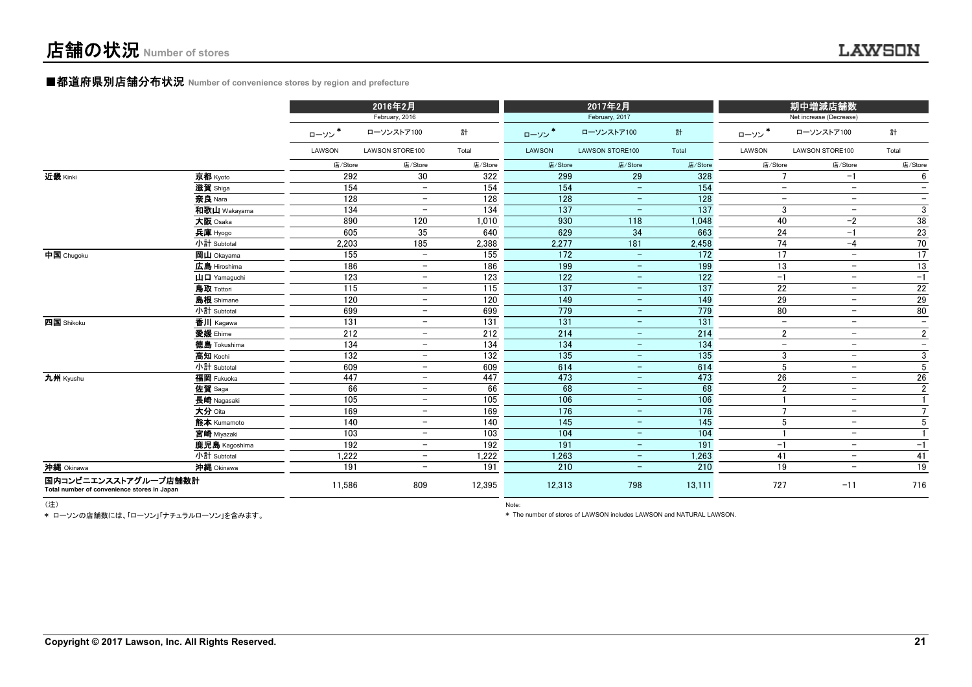#### ■都道府県別店舗分布状況 **Number of convenience stores by region and prefecture**

|                                                                     |                                     |         | 2016年2月                  |                  |                  | 2017年2月                         |                  |                          | 期中増減店舗数                  |                          |
|---------------------------------------------------------------------|-------------------------------------|---------|--------------------------|------------------|------------------|---------------------------------|------------------|--------------------------|--------------------------|--------------------------|
|                                                                     |                                     |         | February, 2016           |                  |                  | February, 2017                  |                  |                          | Net increase (Decrease)  |                          |
|                                                                     |                                     | ローソン    | ローソンストア100               | 計                | ローソン*            | ローソンストア100                      | 計                | ローソン*                    | ローソンストア100               | 計                        |
|                                                                     |                                     | LAWSON  | LAWSON STORE100          | Total            | LAWSON           | LAWSON STORE100                 | Total            | LAWSON                   | LAWSON STORE100          | Total                    |
|                                                                     |                                     | 店/Store | 店/Store                  | 店/Store          | 店/Store          | 店/Store                         | 店/Store          | 店/Store                  | 店/Store                  | 店/Store                  |
| 近畿 Kinki                                                            | 京都 Kyoto                            | 292     | 30                       | 322              | 299              | 29                              | 328              |                          | $-1$                     | 6                        |
|                                                                     | 滋賀 Shiga                            | 154     | $\overline{\phantom{a}}$ | 154              | 154              | $\sim$                          | 154              | $\qquad \qquad -$        | $\overline{\phantom{m}}$ | $\overline{\phantom{0}}$ |
|                                                                     | 奈良 Nara                             | 128     | $\overline{\phantom{a}}$ | 128              | 128              | $-$                             | 128              | $\overline{\phantom{a}}$ | $\overline{\phantom{m}}$ | $\overline{\phantom{0}}$ |
|                                                                     | 和歌山 Wakayama                        | 134     | $\overline{\phantom{a}}$ | 134              | 137              | $\equiv$                        | 137              | 3                        | $\overline{\phantom{m}}$ | 3                        |
|                                                                     | 大阪 Osaka                            | 890     | 120                      | 1,010            | 930              | 118                             | 1,048            | 40                       | $-2$                     | 38                       |
|                                                                     | 兵庫 Hyogo                            | 605     | 35                       | 640              | 629              | 34                              | 663              | 24                       | $-1$                     | 23                       |
|                                                                     | 小計 Subtotal                         | 2,203   | 185                      | 2,388            | 2,277            | 181                             | 2,458            | 74                       | $-4$                     | 70                       |
| 中国 Chugoku                                                          | 岡山 Okayama                          | 155     | $\equiv$                 | 155              | 172              | $\sim$                          | $\overline{172}$ | 17                       | $\overline{\phantom{a}}$ | 17                       |
|                                                                     | 広島 Hiroshima                        | 186     | $-$                      | 186              | 199              | $\overline{\phantom{m}}$        | 199              | 13                       | $\overline{\phantom{a}}$ | 13                       |
|                                                                     | $\mathbf{H} \mathbf{\Pi}$ Yamaquchi | 123     | $\overline{\phantom{m}}$ | 123              | 122              | $\overline{\phantom{m}}$        | 122              | $-1$                     | $\overline{\phantom{m}}$ | $-1$                     |
|                                                                     | 鳥取 Tottori                          | 115     | $\overline{\phantom{a}}$ | 115              | 137              | $\equiv$                        | 137              | 22                       | $\overline{\phantom{a}}$ | 22                       |
|                                                                     | 島根 Shimane                          | 120     | $\overline{\phantom{m}}$ | 120              | 149              | $\equiv$                        | 149              | 29                       | $\overline{\phantom{a}}$ | 29                       |
|                                                                     | 小計 Subtotal                         | 699     | $\overline{\phantom{a}}$ | 699              | 779              | $\hspace{0.1mm}-\hspace{0.1mm}$ | 779              | 80                       | $\overline{\phantom{a}}$ | 80                       |
| 四国 Shikoku                                                          | 香川 Kagawa                           | 131     | $\overline{\phantom{m}}$ | $\overline{131}$ | $\overline{131}$ | $\equiv$                        | 131              | $-$                      | $\overline{\phantom{m}}$ | $\overline{\phantom{0}}$ |
|                                                                     | 愛媛 Ehime                            | 212     | $\overline{\phantom{m}}$ | 212              | 214              | $\overline{\phantom{m}}$        | 214              | $\overline{2}$           | $\overline{\phantom{m}}$ | $\overline{2}$           |
|                                                                     | <b>徳島</b> Tokushima                 | 134     | $\overline{\phantom{m}}$ | 134              | 134              | $-$                             | 134              | $\overline{\phantom{a}}$ | $\overline{\phantom{m}}$ | $\overline{\phantom{0}}$ |
|                                                                     | 高知 Kochi                            | 132     | $\overline{\phantom{m}}$ | 132              | 135              | $\equiv$                        | 135              | 3                        | $-$                      | 3                        |
|                                                                     | 小計 Subtotal                         | 609     | $\overline{\phantom{m}}$ | 609              | 614              | $\equiv$                        | 614              | 5                        | $\overline{\phantom{a}}$ | 5                        |
| 九州 Kyushu                                                           | 福岡 Fukuoka                          | 447     | $-$                      | 447              | 473              | $\equiv$                        | 473              | 26                       | $\overline{\phantom{a}}$ | 26                       |
|                                                                     | 佐賀 Saga                             | 66      | $\overline{\phantom{m}}$ | 66               | 68               | $\overline{\phantom{m}}$        | 68               | $\overline{2}$           | $\overline{\phantom{a}}$ | $\overline{2}$           |
|                                                                     | 長崎 Nagasaki                         | 105     | $\overline{\phantom{m}}$ | 105              | 106              | $\equiv$                        | 106              |                          | $\overline{\phantom{m}}$ |                          |
|                                                                     | 大分 Oita                             | 169     | $\overline{\phantom{0}}$ | 169              | 176              | $-$                             | 176              | $\overline{7}$           | $\overline{\phantom{m}}$ | $\overline{7}$           |
|                                                                     | 熊本 Kumamoto                         | 140     | $\overline{\phantom{0}}$ | 140              | 145              | $\equiv$                        | 145              | 5                        | $\overline{\phantom{m}}$ | 5                        |
|                                                                     | 宮崎 Miyazaki                         | 103     | $\overline{\phantom{a}}$ | 103              | 104              | $\overline{\phantom{m}}$        | 104              |                          | $\overline{\phantom{a}}$ |                          |
|                                                                     | 鹿児島 Kagoshima                       | 192     | $\overline{\phantom{0}}$ | 192              | 191              | $\qquad \qquad -$               | 191              | $-1$                     | $\overline{\phantom{a}}$ | $-1$                     |
|                                                                     | 小計 Subtotal                         | 1.222   | $\overline{\phantom{m}}$ | 1,222            | 1.263            | $\equiv$                        | 1,263            | 41                       | $\overline{\phantom{a}}$ | 41                       |
| 沖縄 Okinawa                                                          | 沖縄 Okinawa                          | 191     | $\overline{\phantom{0}}$ | 191              | 210              | $\equiv$                        | 210              | 19                       | $\overline{\phantom{a}}$ | 19                       |
| 国内コンビニエンスストアグループ店舗数計<br>Total number of convenience stores in Japan |                                     | 11.586  | 809                      | 12,395           | 12,313           | 798                             | 13.111           | 727                      | $-11$                    | 716                      |

\* ローソンの店舗数には、「ローソン」「ナチュラルローソン」を含みます。

(注) Note:

\* The number of stores of LAWSON includes LAWSON and NATURAL LAWSON.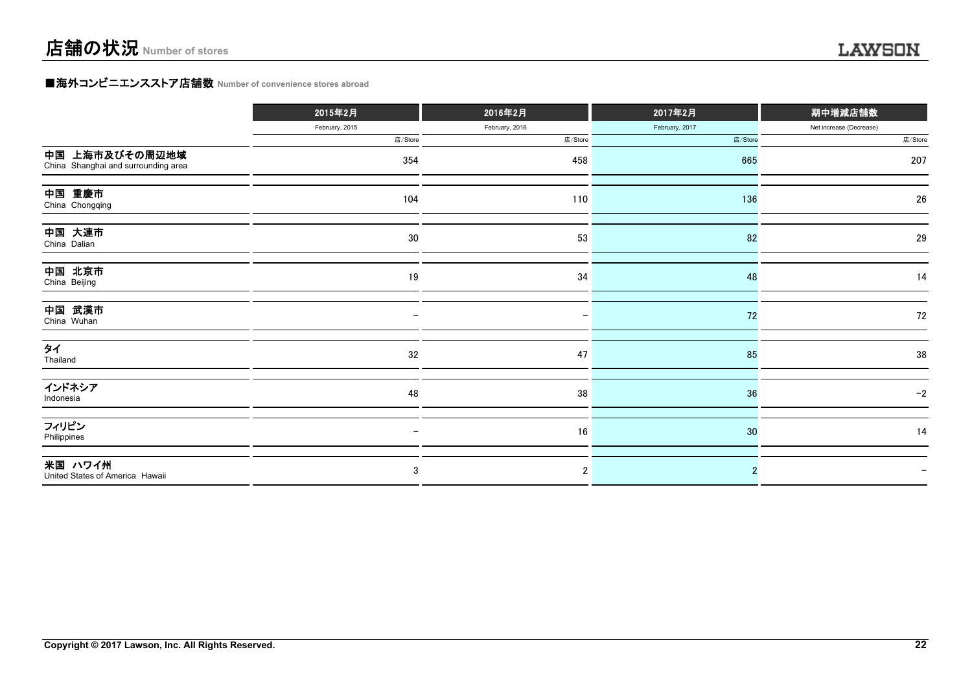#### **■海外コンビニエンスストア店舗数 Number of convenience stores abroad**

|                                                       | 2015年2月                  | 2016年2月        | 2017年2月        | 期中増減店舗数                 |
|-------------------------------------------------------|--------------------------|----------------|----------------|-------------------------|
|                                                       | February, 2015           | February, 2016 | February, 2017 | Net increase (Decrease) |
|                                                       | 店/Store                  | 店/Store        | 店/Store        | 店/Store                 |
| 中国 上海市及びその周辺地域<br>China Shanghai and surrounding area | 354                      | 458            | 665            | 207                     |
| 中国 重慶市<br>China Chongqing                             | 104                      | 110            | 136            | 26                      |
| 中国 大連市<br>China Dalian                                | 30                       | 53             | 82             | 29                      |
| 中国 北京市<br>China Beijing                               | 19                       | 34             | 48             | 14                      |
| 中国 武漢市<br>China Wuhan                                 | —                        |                | 72             | 72                      |
| タイ<br>Thailand                                        | 32                       | 47             | 85             | 38                      |
| インドネシア<br>Indonesia                                   | 48                       | 38             | 36             | $-2$                    |
| フィリピン<br>Philippines                                  | $\overline{\phantom{0}}$ | 16             | 30             | 14                      |
| 米国 ハワイ州<br>United States of America Hawaii            | 3                        | $\overline{2}$ |                |                         |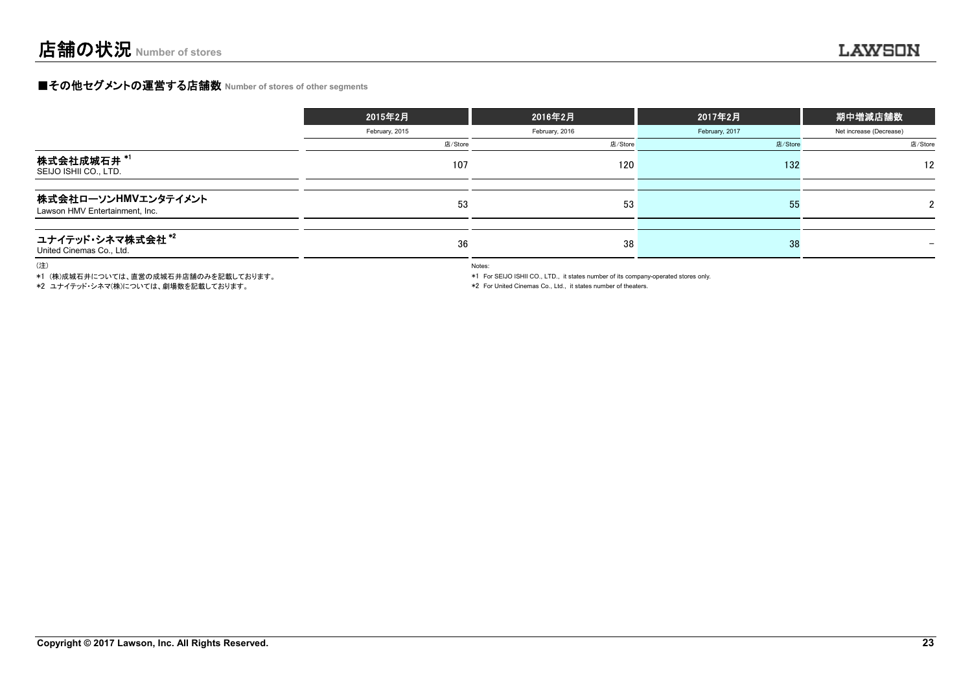#### **■その他セグメントの運営する店舗数 Number of stores of other segments**

|                                                       | 2015年2月        | 2016年2月        | 2017年2月        | 期中増減店舗数                 |
|-------------------------------------------------------|----------------|----------------|----------------|-------------------------|
|                                                       | February, 2015 | February, 2016 | February, 2017 | Net increase (Decrease) |
|                                                       | 店/Store        | 店/Store        | 店/Store        | 店/Store                 |
| 株式会社成城石井 *1<br>SEIJO ISHII CO., LTD.                  | 107            | 120            | 132            | 12                      |
| 株式会社ローソンHMVエンタテイメント<br>Lawson HMV Entertainment, Inc. | 53             | 53             | -55            |                         |
| ユナイテッド・シネマ株式会社*2<br>United Cinemas Co., Ltd.          | 36             | 38             | 38             | $\qquad \qquad$         |

(注)

\*1 (株)成城石井については、直営の成城石井店舗のみを記載しております。

\*2 ユナイテッド・シネマ(株)については、劇場数を記載しております。

Notes:

\*1 For SEIJO ISHII CO., LTD., it states number of its company-operated stores only.

\*2 For United Cinemas Co., Ltd., it states number of theaters.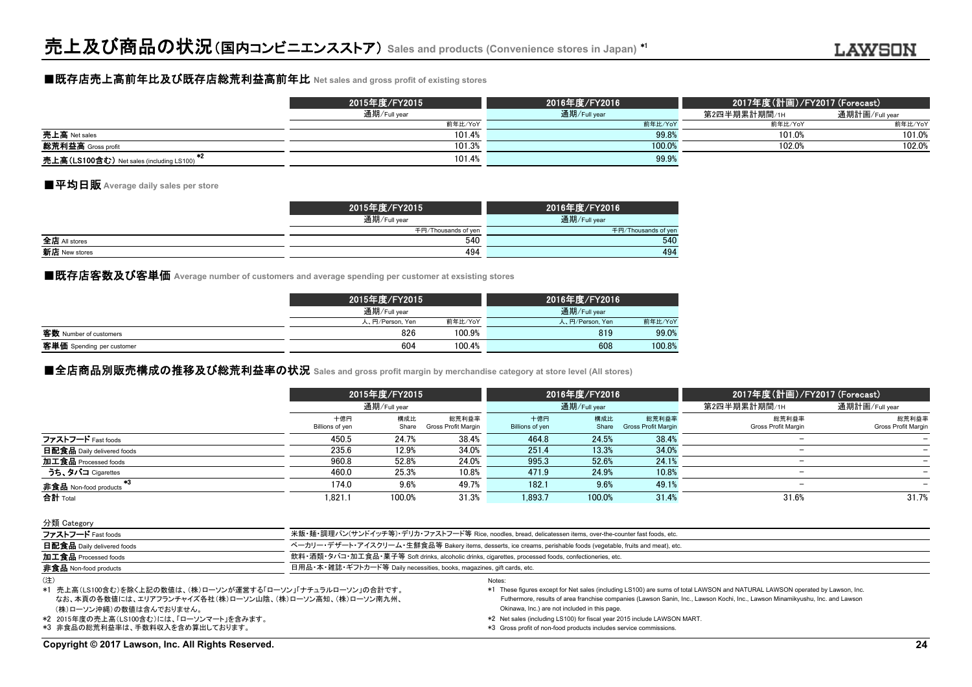#### ■既存店売上高前年比及び既存店総荒利益高前年比 **Net sales and gross profit of existing stores**

|                                          | 2015年度/FY2015 | 2016年度/FY2016 |              | 2017年度(計画)/FY2017 (Forecast) |  |  |
|------------------------------------------|---------------|---------------|--------------|------------------------------|--|--|
|                                          | 通期/Full year  | 通期/Full year  | 第2四半期累計期間/1н | 通期計画/Full year               |  |  |
|                                          | 前年比/YoY       | 前年比/YoY       | 前年比/YoY      | 前年比/YoY                      |  |  |
| 売上高 Net sales                            | 101.4%        | 99.8%         | 101.0%       | 101.0%                       |  |  |
| 総荒利益高 Gross profit                       | 101.3%        | 100.0%        | 102.0%       | 102.0%                       |  |  |
| 売上高(LS100含む) Net sales (including LS100) | 101.4%        | 99.9%         |              |                              |  |  |

#### ■平均日販 **Average daily sales per store**

|               | 2015年度/FY2015       | 2016年度/FY2016       |
|---------------|---------------------|---------------------|
|               | 通期/Full year        | 通期/Full year        |
|               | 千円/Thousands of yen | 千円/Thousands of yen |
| 全店 All stores | 540                 | 540                 |
| 新店 New stores | 494                 | 494                 |

■既存店客数及び客単価 Average number of customers and average spending per customer at exsisting stores

|                           | 2015年度/FY2015   |         | 2016年度/FY2016   |         |
|---------------------------|-----------------|---------|-----------------|---------|
|                           | 通期/Full year    |         | 通期/Full year    |         |
|                           | 人、円/Person, Yen | 前年比/YoY | 人、円/Person, Yen | 前年比/YoY |
| 客数 Number of customers    | 826             | 100.9%  | 819             | 99.0%   |
| 客単価 Spending per customer | 604             | 100.4%  | 608             | 100.8%  |

#### **■全店商品別販売構成の推移及び総荒利益率の状況** Sales and gross profit margin by merchandise category at store level (All stores)

|                                     |                        | 2015年度/FY2015<br>通期/Full year |                              |                        | 2016年度/FY2016 |                              | 2017年度(計画)/FY2017 (Forecast) |                              |  |
|-------------------------------------|------------------------|-------------------------------|------------------------------|------------------------|---------------|------------------------------|------------------------------|------------------------------|--|
|                                     |                        |                               |                              |                        | 通期/Full year  |                              | 第2四半期累計期間/1H                 | 通期計画/Full year               |  |
|                                     | 十億円<br>Billions of yen | 構成比<br>Share                  | 総荒利益率<br>Gross Profit Margin | 十億円<br>Billions of yen | 構成比<br>Share  | 総荒利益率<br>Gross Profit Margin | 総荒利益率<br>Gross Profit Margin | 総荒利益率<br>Gross Profit Margin |  |
| ファストフード Fast foods                  | 450.5                  | 24.7%                         | 38.4%                        | 464.8                  | 24.5%         | 38.4%                        |                              |                              |  |
| 日配食品 Daily delivered foods          | 235.6                  | 12.9%                         | 34.0%                        | 251.4                  | 13.3%         | 34.0%                        |                              |                              |  |
| 加工食品 Processed foods                | 960.8                  | 52.8%                         | 24.0%                        | 995.3                  | 52.6%         | 24.1%                        |                              |                              |  |
| うち、タバコ Cigarettes                   | 460.0                  | 25.3%                         | 10.8%                        | 471.9                  | 24.9%         | 10.8%                        |                              |                              |  |
| 非食品 Non-food products <sup>*3</sup> | 174.0                  | 9.6%                          | 49.7%                        | 182.1                  | 9.6%          | 49.1%                        |                              |                              |  |
| 合計 Total                            | 1.821.1                | 100.0%                        | 31.3%                        | 1.893.7                | 100.0%        | 31.4%                        | 31.6%                        | 31.7%                        |  |

| 分類 Category                  |                                                                                                                  |
|------------------------------|------------------------------------------------------------------------------------------------------------------|
| ファストフード Fast foods           | 米飯・麺・調理パン(サンドイッチ等)・デリカ・ファストフード等 Rice, noodles, bread, delicatessen items, over-the-counter fast foods, etc.      |
| 日配食品 Daily delivered foods   | ベーカリー・デザート・アイスクリーム・生鮮食品等 Bakery items, desserts, ice creams, perishable foods (vegetable, fruits and meat), etc. |
| 加工食品 Processed foods         | 飲料・酒類・タバコ・加工食品・菓子等 Soft drinks, alcoholic drinks, cigarettes, processed foods, confectioneries, etc.             |
| <b>非食品</b> Non-food products | 日用品・本・雑誌・ギフトカード等 Daily necessities, books, magazines, gift cards, etc.                                           |
| (注)                          | <b>Notes</b>                                                                                                     |

 (株)ローソン沖縄)の数値は含んでおりません。 なお、本頁の各数値には、エリアフランチャイズ各社(株)ローソン山陰、(株)ローソン高知、(株)ローソン南九州、 \*1 売上高(LS100含む)を除く上記の数値は、(株)ローソンが運営する「ローソン」「ナチュラルローソン」の合計です。

\*2 2015年度の売上高(LS100含む)には、「ローソンマート」を含みます。

\*3 非食品の総荒利益率は、手数料収入を含め算出しております。

Futhermore, results of area franchise companies (Lawson Sanin, Inc., Lawson Kochi, Inc., Lawson Minamikyushu, Inc. and Lawson Okinawa, Inc.) are not included in this page.

- \*2 Net sales (including LS100) for fiscal year 2015 include LAWSON MART.
	- \*3 Gross profit of non-food products includes service commissions.

\*1 These figures except for Net sales (including LS100) are sums of total LAWSON and NATURAL LAWSON operated by Lawson, Inc.

**Copyright © 2017 Lawson, Inc. All Rights Reserved. 24**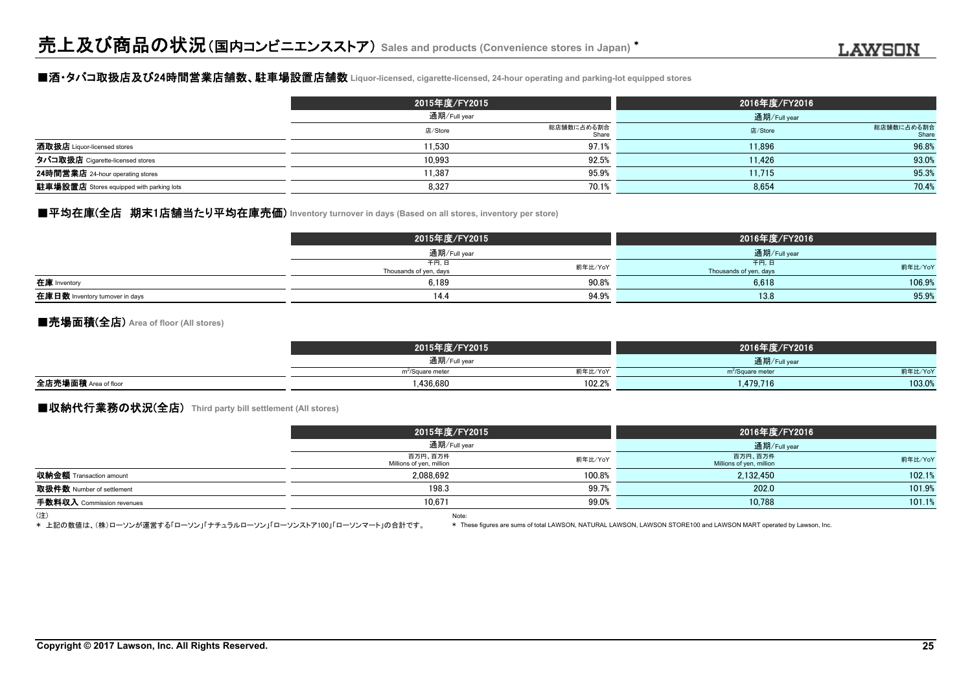#### ■酒・タバコ取扱店及び24時間営業店舗数、駐車場設置店舗数 **Liquor-licensed, cigarette-licensed, 24-hour operating and parking-lot equipped stores**

|                                                 | 2015年度/FY2015 |                     | 2016年度/FY2016 |                     |
|-------------------------------------------------|---------------|---------------------|---------------|---------------------|
|                                                 | 通期/Full year  |                     | 通期/Full year  |                     |
|                                                 | 店/Store       | 総店舗数に占める割合<br>Share | 店/Store       | 総店舗数に占める割合<br>Share |
| 酒取扱店 Liquor-licensed stores                     | 1.530         | 97.1%               | 11.896        | 96.8%               |
| タバコ取扱店 Cigarette-licensed stores                | 10,993        | 92.5%               | 11.426        | 93.0%               |
| 24時間営業店 24-hour operating stores                | 1.387         | 95.9%               | 11.715        | 95.3%               |
| <b>駐車場設置店</b> Stores equipped with parking lots | 8,327         | 70.1%               | 8,654         | 70.4%               |

## ■平均在庫(全店 期末1店舗当たり平均在庫売価) Inventory turnover in days (Based on all stores, inventory per store)

|                                 | 2015年度/FY2015                  |         | 2016年度/FY2016                  |         |
|---------------------------------|--------------------------------|---------|--------------------------------|---------|
|                                 | 通期/Full year                   |         | 通期/Full year                   |         |
|                                 | 千円,日<br>Thousands of yen, days | 前年比/YoY | 千円,日<br>Thousands of yen, days | 前年比/YoY |
| 在庫 Inventory                    | 6.189                          | 90.8%   | 6.618                          | 106.9%  |
| 在庫日数 Inventory turnover in days | 14.4                           | 94.9%   | 13.8                           | 95.9%   |

#### ■売場面積(全店) **Area of floor (All stores)**

|                      | 2015年度/FY2015                           | 2016年度/FY2016                           |  |
|----------------------|-----------------------------------------|-----------------------------------------|--|
|                      | 通期/Full year                            | 通期/Full year                            |  |
|                      | 前年比/YoY<br>m <sup>2</sup> /Square meter | 前年比/YoY<br>m <sup>2</sup> /Square meter |  |
| 全店売場面積 Area of floor | 102.2%<br>.436.680                      | 103.0%<br>.479,716                      |  |

### **■収納代行業務の状況(全店)** Third party bill settlement (All stores)

|                                | 2015年度/FY2015                       |         | 2016年度/FY2016                       |              |  |
|--------------------------------|-------------------------------------|---------|-------------------------------------|--------------|--|
|                                | 通期/Full year                        |         |                                     | 通期/Full year |  |
|                                | 百万円、百万件<br>Millions of yen, million | 前年比/YoY | 百万円、百万件<br>Millions of yen, million | 前年比/YoY      |  |
| <b>収納金額</b> Transaction amount | 2,088,692                           | 100.8%  | 2,132,450                           | 102.1%       |  |
| 取扱件数 Number of settlement      | 198.3                               | 99.7%   | 202.0                               | 101.9%       |  |
| 手数料収入 Commission revenues      | 10.671                              | 99.0%   | 10,788                              | 101.1%       |  |
| (注)                            | Note:                               |         |                                     |              |  |

\* 上記の数値は、(株)ローソンが運営する「ローソン」「ナチュラルローソン」「ローソンストア100」「ローソンマート」の合計です。

\* These figures are sums of total LAWSON, NATURAL LAWSON, LAWSON STORE100 and LAWSON MART operated by Lawson, Inc.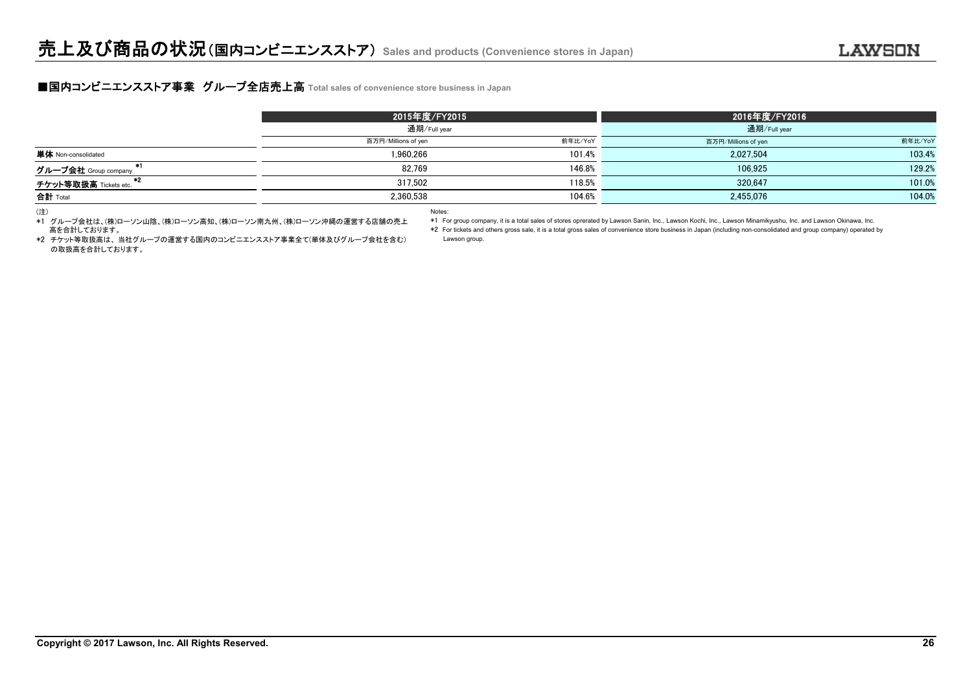#### **■国内コンビニエンスストア事業 グループ全店売上高** Total sales of convenience store business in Japan

|                              | 2015年度/FY2015       |         | 2016年度/FY2016       |         |
|------------------------------|---------------------|---------|---------------------|---------|
|                              | 通期/Full year        |         |                     |         |
|                              | 百万円/Millions of yen | 前年比/YoY | 百万円/Millions of yen | 前年比/YoY |
| <b>単体</b> Non-consolidated   | 1.960.266           | 101.4%  | 2.027.504           | 103.4%  |
| - 12<br>グループ会社 Group company | 82.769              | 146.8%  | 106,925             | 129.2%  |
| チケット等取扱高 Tickets etc.        | 317.502             | 118.5%  | 320.647             | 101.0%  |
| 合計 Total                     | 2,360,538           | 104.6%  | 2,455,076           | 104.0%  |

(注) Notes:

\*1 For group company, it is a total sales of stores oprerated by Lawson Sanin, Inc., Lawson Kochi, Inc., Lawson Minamikyushu, Inc. and Lawson Okinawa, Inc.

\*2 For tickets and others gross sale, it is a total gross sales of convenience store business in Japan (including non-consolidated and group company) operated by

 \*2 チケット等取扱高は、 当社グループの運営する国内のコンビニエンスストア事業全て(単体及びグループ会社を含む) Lawson group. の取扱高を合計しております。

高を合計しております。

\*1 グループ会社は、(株)ローソン山陰、(株)ローソン高知、(株)ローソン南九州、(株)ローソン沖縄の運営する店舗の売上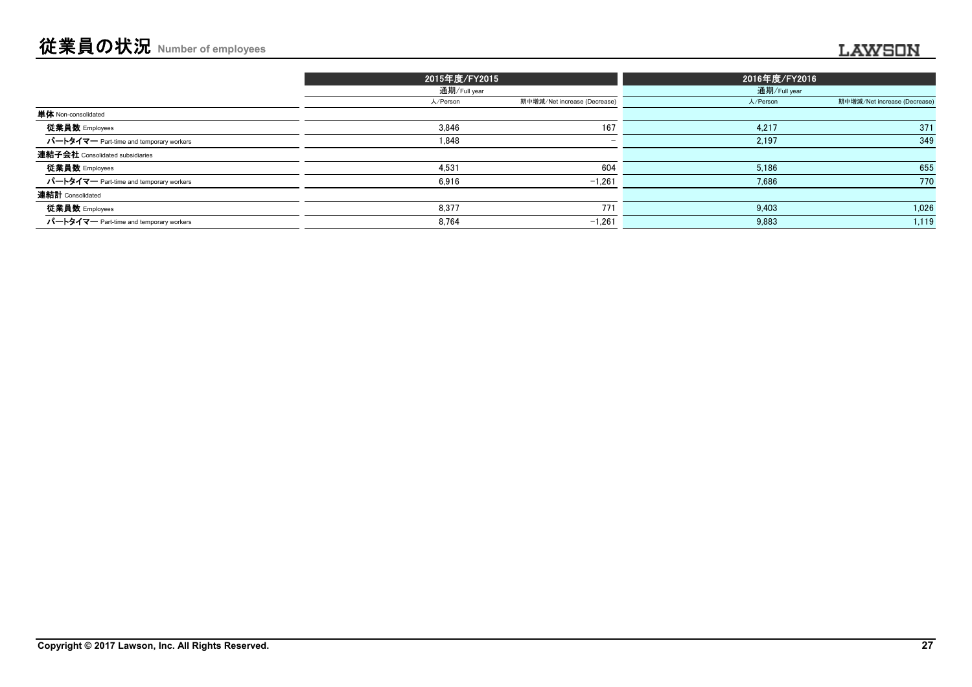|                                         | 2015年度/FY2015 |                              | 2016年度/FY2016 |                              |
|-----------------------------------------|---------------|------------------------------|---------------|------------------------------|
|                                         | 通期/Full year  |                              | 通期/Full year  |                              |
|                                         | 人/Person      | 期中増減/Net increase (Decrease) | 人/Person      | 期中増減/Net increase (Decrease) |
| 単体 Non-consolidated                     |               |                              |               |                              |
| 従業員数 Employees                          | 3.846         | 167                          | 4,217         | 371                          |
| パートタイマー Part-time and temporary workers | 1,848         | $\overline{\phantom{0}}$     | 2,197         | 349                          |
| 連結子会社 Consolidated subsidiaries         |               |                              |               |                              |
| 従業員数 Employees                          | 4,531         | 604                          | 5,186         | 655                          |
| パートタイマー Part-time and temporary workers | 6,916         | $-1,261$                     | 7,686         | 770                          |
| 連結計 Consolidated                        |               |                              |               |                              |
| 従業員数 Employees                          | 8.377         | 771                          | 9.403         | 1,026                        |
| パートタイマー Part-time and temporary workers | 8.764         | $-1.261$                     | 9.883         | 1,119                        |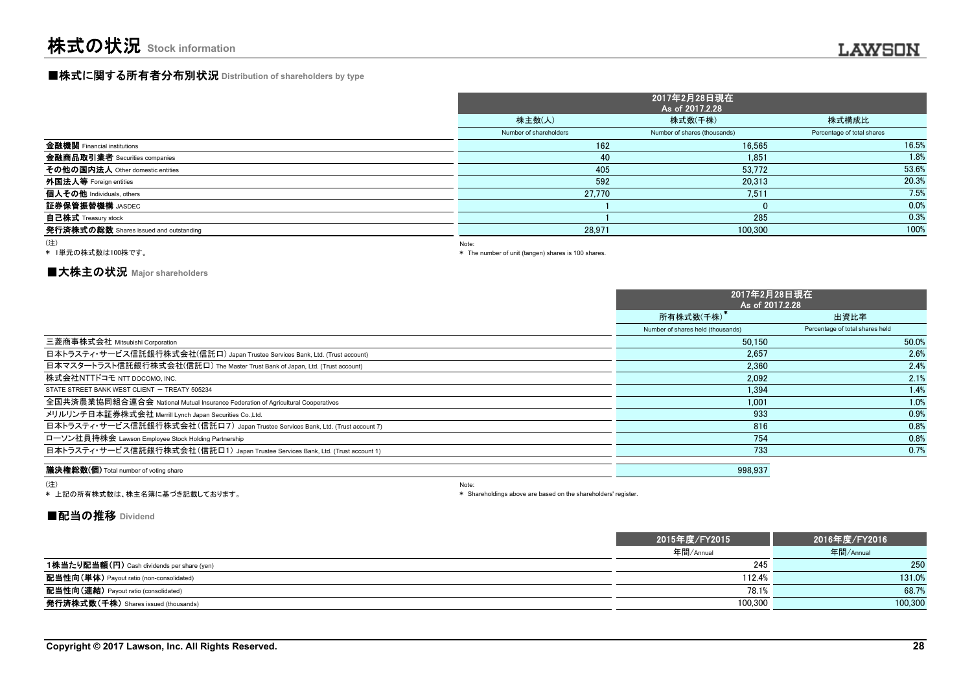## **■株式に関する所有者分布別状況** Distribution of shareholders by type

|                                        |                        | 2017年2月28日現在<br>As of 2017.2.28 |                            |
|----------------------------------------|------------------------|---------------------------------|----------------------------|
|                                        | 株主数(人)                 | 株式数(千株)                         | 株式構成比                      |
|                                        | Number of shareholders | Number of shares (thousands)    | Percentage of total shares |
| 金融機関 Financial institutions            | 162                    | 16.565                          | 16.5%                      |
| 金融商品取引業者 Securities companies          | 40                     | 1.851                           | 1.8%                       |
| その他の国内法人 Other domestic entities       | 405                    | 53.772                          | 53.6%                      |
| 外国法人等 Foreign entities                 | 592                    | 20.313                          | 20.3%                      |
| 個人その他 Individuals, others              | 27.770                 | 7.511                           | 7.5%                       |
| 証券保管振替機構 JASDEC                        |                        | 0                               | 0.0%                       |
| <b>自己株式</b> Treasury stock             |                        | 285                             | 0.3%                       |
| 発行済株式の総数 Shares issued and outstanding | 28,971                 | 100,300                         | 100%                       |
|                                        |                        |                                 |                            |

#### (注)

\* 1単元の株式数は100株です。

Note:

\* The number of unit (tangen) shares is 100 shares.

#### **■大株主の状況 Major shareholders**

|                                                                                 | 2017年2月28日現在<br>As of 2017.2.28   |                                 |
|---------------------------------------------------------------------------------|-----------------------------------|---------------------------------|
|                                                                                 | 所有株式数(千株)                         | 出資比率                            |
|                                                                                 | Number of shares held (thousands) | Percentage of total shares held |
| 三菱商事株式会社 Mitsubishi Corporation                                                 | 50.150                            | 50.0%                           |
| 日本トラスティ・サービス信託銀行株式会社(信託口) Japan Trustee Services Bank, Ltd. (Trust account)     | 2.657                             | 2.6%                            |
| 日本マスタートラスト信託銀行株式会社(信託口) The Master Trust Bank of Japan, Ltd. (Trust account)    | 2.360                             | 2.4%                            |
| 株式会社NTTドコモ NTT DOCOMO, INC.                                                     | 2.092                             | 2.1%                            |
| STATE STREET BANK WEST CLIENT - TREATY 505234                                   | 1.394                             | 1.4%                            |
| 全国共済農業協同組合連合会 National Mutual Insurance Federation of Agricultural Cooperatives | 1.001                             | 1.0%                            |
| メリルリンチ日本証券株式会社 Merrill Lynch Japan Securities Co.,Ltd.                          | 933                               | 0.9%                            |
| 日本トラスティ・サービス信託銀行株式会社(信託ロ7) Japan Trustee Services Bank, Ltd. (Trust account 7)  | 816                               | 0.8%                            |
| ローソン社員持株会 Lawson Employee Stock Holding Partnership                             | 754                               | 0.8%                            |
| 日本トラスティ・サービス信託銀行株式会社(信託口1) Japan Trustee Services Bank, Ltd. (Trust account 1)  | 733                               | 0.7%                            |
| 議決権総数(個) Total number of voting share                                           | 998,937                           |                                 |

#### (注)

\* 上記の所有株式数は、株主名簿に基づき記載しております。

Note: \* Shareholdings above are based on the shareholders' register.

#### **■配当の推移 Dividend**

|                                                   | 2015年度/FY2015 | 2016年度/FY2016 |
|---------------------------------------------------|---------------|---------------|
|                                                   | 年間/Annual     | 年間/Annual     |
| <b>1株当たり配当額(円)</b> Cash dividends per share (yen) | 245           | 250           |
| <b>配当性向(単体)</b> Payout ratio (non-consolidated)   | 112.4%        | 131.0%        |
| <b>配当性向(連結)</b> Payout ratio (consolidated)       | 78.1%         | 68.7%         |
| <b>発行済株式数(千株)</b> Shares issued (thousands)       | 100,300       | 100,300       |